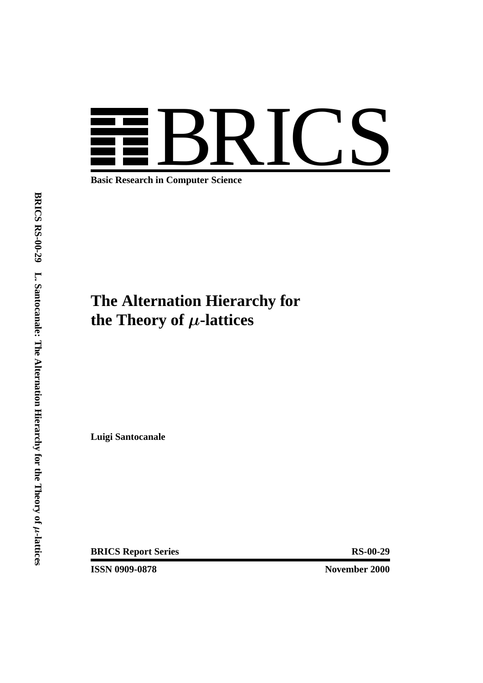

**Basic Research in Computer Science**

# **The Alternation Hierarchy for the Theory of** *µ***-lattices**

**Luigi Santocanale**

**BRICS Report Series RS-00-29** 

**ISSN 0909-0878** November 2000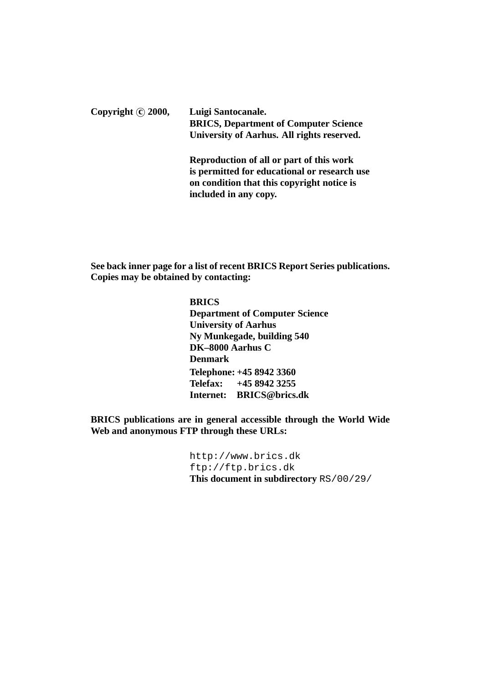Copyright (c) 2000, Luigi Santocanale. **BRICS, Department of Computer Science University of Aarhus. All rights reserved. Reproduction of all or part of this work**

**is permitted for educational or research use on condition that this copyright notice is included in any copy.**

**See back inner page for a list of recent BRICS Report Series publications. Copies may be obtained by contacting:**

> **BRICS Department of Computer Science University of Aarhus Ny Munkegade, building 540 DK–8000 Aarhus C Denmark Telephone: +45 8942 3360 Telefax: +45 8942 3255 Internet: BRICS@brics.dk**

**BRICS publications are in general accessible through the World Wide Web and anonymous FTP through these URLs:**

> http://www.brics.dk ftp://ftp.brics.dk **This document in subdirectory** RS/00/29/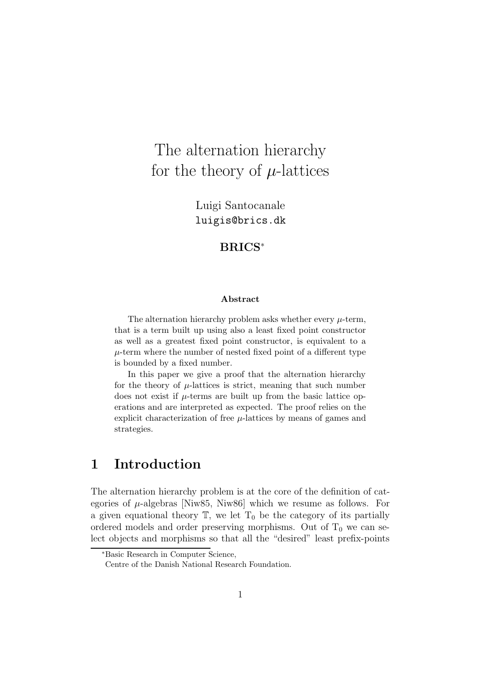# The alternation hierarchy for the theory of  $\mu$ -lattices

Luigi Santocanale luigis@brics.dk

#### **BRICS**<sup>∗</sup>

#### **Abstract**

The alternation hierarchy problem asks whether every  $\mu$ -term, that is a term built up using also a least fixed point constructor as well as a greatest fixed point constructor, is equivalent to a  $\mu$ -term where the number of nested fixed point of a different type is bounded by a fixed number.

In this paper we give a proof that the alternation hierarchy for the theory of  $\mu$ -lattices is strict, meaning that such number does not exist if  $\mu$ -terms are built up from the basic lattice operations and are interpreted as expected. The proof relies on the explicit characterization of free  $\mu$ -lattices by means of games and strategies.

## **1 Introduction**

The alternation hierarchy problem is at the core of the definition of categories of  $\mu$ -algebras [Niw85, Niw86] which we resume as follows. For a given equational theory  $\mathbb{T}$ , we let  $T_0$  be the category of its partially ordered models and order preserving morphisms. Out of  $T_0$  we can select objects and morphisms so that all the "desired" least prefix-points

<sup>∗</sup>Basic Research in Computer Science,

Centre of the Danish National Research Foundation.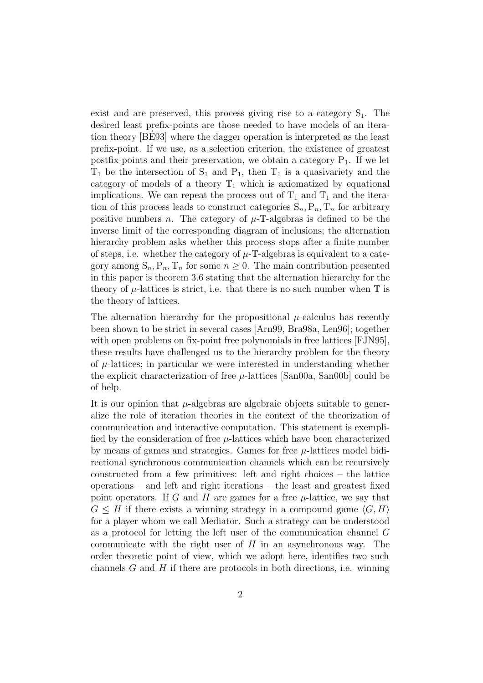exist and are preserved, this process giving rise to a category  $S_1$ . The desired least prefix-points are those needed to have models of an iteration theory [BE93] where the dagger operation is interpreted as the least ´ prefix-point. If we use, as a selection criterion, the existence of greatest postfix-points and their preservation, we obtain a category  $P_1$ . If we let  $T_1$  be the intersection of  $S_1$  and  $P_1$ , then  $T_1$  is a quasivariety and the category of models of a theory  $\mathbb{T}_1$  which is axiomatized by equational implications. We can repeat the process out of  $T_1$  and  $T_1$  and the iteration of this process leads to construct categories  $S_n, P_n, T_n$  for arbitrary positive numbers n. The category of  $\mu$ -T-algebras is defined to be the inverse limit of the corresponding diagram of inclusions; the alternation hierarchy problem asks whether this process stops after a finite number of steps, i.e. whether the category of  $\mu$ -T-algebras is equivalent to a category among  $S_n$ ,  $P_n$ ,  $T_n$  for some  $n \geq 0$ . The main contribution presented in this paper is theorem 3.6 stating that the alternation hierarchy for the theory of  $\mu$ -lattices is strict, i.e. that there is no such number when  $\mathbb T$  is the theory of lattices.

The alternation hierarchy for the propositional  $\mu$ -calculus has recently been shown to be strict in several cases [Arn99, Bra98a, Len96]; together with open problems on fix-point free polynomials in free lattices [FJN95], these results have challenged us to the hierarchy problem for the theory of  $\mu$ -lattices; in particular we were interested in understanding whether the explicit characterization of free  $\mu$ -lattices [San00a, San00b] could be of help.

It is our opinion that  $\mu$ -algebras are algebraic objects suitable to generalize the role of iteration theories in the context of the theorization of communication and interactive computation. This statement is exemplified by the consideration of free  $\mu$ -lattices which have been characterized by means of games and strategies. Games for free  $\mu$ -lattices model bidirectional synchronous communication channels which can be recursively constructed from a few primitives: left and right choices – the lattice operations – and left and right iterations – the least and greatest fixed point operators. If G and H are games for a free  $\mu$ -lattice, we say that  $G \leq H$  if there exists a winning strategy in a compound game  $\langle G, H \rangle$ for a player whom we call Mediator. Such a strategy can be understood as a protocol for letting the left user of the communication channel G communicate with the right user of  $H$  in an asynchronous way. The order theoretic point of view, which we adopt here, identifies two such channels  $G$  and  $H$  if there are protocols in both directions, i.e. winning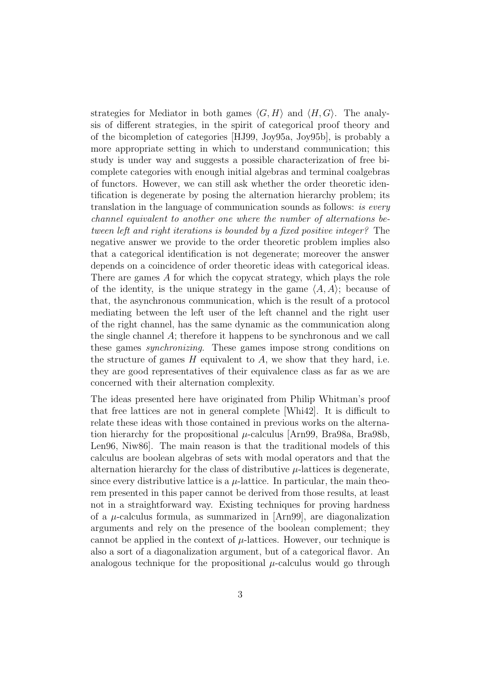strategies for Mediator in both games  $\langle G, H \rangle$  and  $\langle H, G \rangle$ . The analysis of different strategies, in the spirit of categorical proof theory and of the bicompletion of categories [HJ99, Joy95a, Joy95b], is probably a more appropriate setting in which to understand communication; this study is under way and suggests a possible characterization of free bicomplete categories with enough initial algebras and terminal coalgebras of functors. However, we can still ask whether the order theoretic identification is degenerate by posing the alternation hierarchy problem; its translation in the language of communication sounds as follows: is every channel equivalent to another one where the number of alternations between left and right iterations is bounded by a fixed positive integer? The negative answer we provide to the order theoretic problem implies also that a categorical identification is not degenerate; moreover the answer depends on a coincidence of order theoretic ideas with categorical ideas. There are games A for which the copycat strategy, which plays the role of the identity, is the unique strategy in the game  $\langle A, A \rangle$ ; because of that, the asynchronous communication, which is the result of a protocol mediating between the left user of the left channel and the right user of the right channel, has the same dynamic as the communication along the single channel A; therefore it happens to be synchronous and we call these games synchronizing. These games impose strong conditions on the structure of games  $H$  equivalent to  $A$ , we show that they hard, i.e. they are good representatives of their equivalence class as far as we are concerned with their alternation complexity.

The ideas presented here have originated from Philip Whitman's proof that free lattices are not in general complete [Whi42]. It is difficult to relate these ideas with those contained in previous works on the alternation hierarchy for the propositional  $\mu$ -calculus [Arn99, Bra98a, Bra98b, Len96, Niw86]. The main reason is that the traditional models of this calculus are boolean algebras of sets with modal operators and that the alternation hierarchy for the class of distributive  $\mu$ -lattices is degenerate, since every distributive lattice is a  $\mu$ -lattice. In particular, the main theorem presented in this paper cannot be derived from those results, at least not in a straightforward way. Existing techniques for proving hardness of a  $\mu$ -calculus formula, as summarized in [Arn99], are diagonalization arguments and rely on the presence of the boolean complement; they cannot be applied in the context of  $\mu$ -lattices. However, our technique is also a sort of a diagonalization argument, but of a categorical flavor. An analogous technique for the propositional  $\mu$ -calculus would go through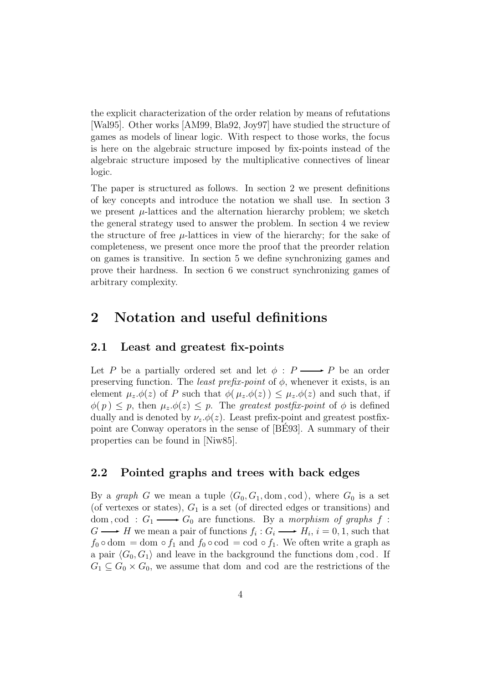the explicit characterization of the order relation by means of refutations [Wal95]. Other works [AM99, Bla92, Joy97] have studied the structure of games as models of linear logic. With respect to those works, the focus is here on the algebraic structure imposed by fix-points instead of the algebraic structure imposed by the multiplicative connectives of linear logic.

The paper is structured as follows. In section 2 we present definitions of key concepts and introduce the notation we shall use. In section 3 we present  $\mu$ -lattices and the alternation hierarchy problem; we sketch the general strategy used to answer the problem. In section 4 we review the structure of free  $\mu$ -lattices in view of the hierarchy; for the sake of completeness, we present once more the proof that the preorder relation on games is transitive. In section 5 we define synchronizing games and prove their hardness. In section 6 we construct synchronizing games of arbitrary complexity.

## **2 Notation and useful definitions**

#### **2.1 Least and greatest fix-points**

Let P be a partially ordered set and let  $\phi : P \longrightarrow P$  be an order preserving function. The *least prefix-point* of  $\phi$ , whenever it exists, is an element  $\mu_z \phi(z)$  of P such that  $\phi(\mu_z \phi(z)) \leq \mu_z \phi(z)$  and such that, if  $\phi(p) \leq p$ , then  $\mu_z \phi(z) \leq p$ . The greatest postfix-point of  $\phi$  is defined dually and is denoted by  $\nu_z.\phi(z)$ . Least prefix-point and greatest postfixpoint are Conway operators in the sense of [BE93]. A summary of their ´ properties can be found in [Niw85].

#### **2.2 Pointed graphs and trees with back edges**

By a graph G we mean a tuple  $\langle G_0, G_1, \text{dom}, \text{cod} \rangle$ , where  $G_0$  is a set (of vertexes or states),  $G_1$  is a set (of directed edges or transitions) and dom, cod :  $G_1 \longrightarrow G_0$  are functions. By a morphism of graphs f :  $G \longrightarrow H$  we mean a pair of functions  $f_i : G_i \longrightarrow H_i$ ,  $i = 0, 1$ , such that  $f_0 \circ \text{dom} = \text{dom} \circ f_1$  and  $f_0 \circ \text{cod} = \text{cod} \circ f_1$ . We often write a graph as a pair  $\langle G_0, G_1 \rangle$  and leave in the background the functions dom, cod. If  $G_1 \subseteq G_0 \times G_0$ , we assume that dom and cod are the restrictions of the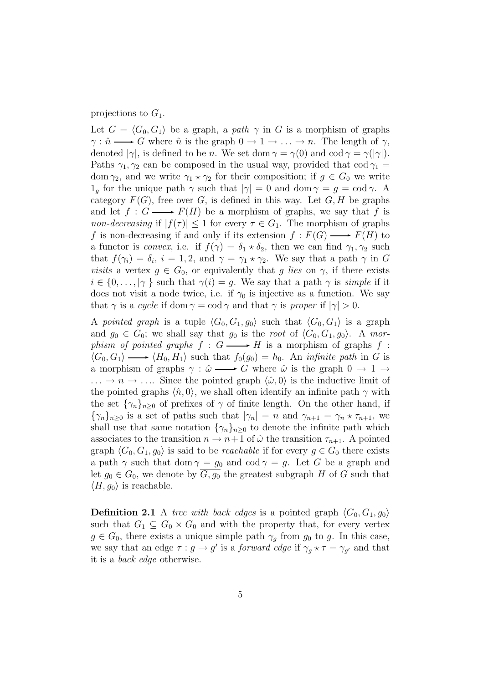#### projections to  $G_1$ .

Let  $G = \langle G_0, G_1 \rangle$  be a graph, a path  $\gamma$  in G is a morphism of graphs  $\gamma : \hat{n} \longrightarrow G$  where  $\hat{n}$  is the graph  $0 \to 1 \to \ldots \to n$ . The length of  $\gamma$ , denoted  $|\gamma|$ , is defined to be *n*. We set dom  $\gamma = \gamma(0)$  and cod  $\gamma = \gamma(|\gamma|)$ . Paths  $\gamma_1, \gamma_2$  can be composed in the usual way, provided that cod  $\gamma_1 =$ dom  $\gamma_2$ , and we write  $\gamma_1 \star \gamma_2$  for their composition; if  $g \in G_0$  we write  $1_q$  for the unique path  $\gamma$  such that  $|\gamma|=0$  and dom  $\gamma=q=\text{cod }\gamma$ . A category  $F(G)$ , free over G, is defined in this way. Let  $G, H$  be graphs and let  $f: G \longrightarrow F(H)$  be a morphism of graphs, we say that f is non-decreasing if  $|f(\tau)| \leq 1$  for every  $\tau \in G_1$ . The morphism of graphs f is non-decreasing if and only if its extension  $f : F(G) \longrightarrow F(H)$  to a functor is *convex*, i.e. if  $f(\gamma) = \delta_1 \star \delta_2$ , then we can find  $\gamma_1, \gamma_2$  such that  $f(\gamma_i) = \delta_i$ ,  $i = 1, 2$ , and  $\gamma = \gamma_1 \star \gamma_2$ . We say that a path  $\gamma$  in G visits a vertex  $g \in G_0$ , or equivalently that g lies on  $\gamma$ , if there exists  $i \in \{0, \ldots, |\gamma|\}$  such that  $\gamma(i) = g$ . We say that a path  $\gamma$  is *simple* if it does not visit a node twice, i.e. if  $\gamma_0$  is injective as a function. We say that  $\gamma$  is a cycle if dom  $\gamma = \text{cod } \gamma$  and that  $\gamma$  is proper if  $|\gamma| > 0$ .

A pointed graph is a tuple  $\langle G_0, G_1, g_0 \rangle$  such that  $\langle G_0, G_1 \rangle$  is a graph and  $g_0 \in G_0$ ; we shall say that  $g_0$  is the root of  $\langle G_0, G_1, g_0 \rangle$ . A morphism of pointed graphs  $f : G \longrightarrow H$  is a morphism of graphs  $f :$  $\langle G_0, G_1 \rangle \longrightarrow \langle H_0, H_1 \rangle$  such that  $f_0(g_0) = h_0$ . An *infinite path* in G is a morphism of graphs  $\gamma : \hat{\omega} \longrightarrow G$  where  $\hat{\omega}$  is the graph  $0 \to 1 \to$  $\ldots \to n \to \ldots$  Since the pointed graph  $\langle \hat{\omega}, 0 \rangle$  is the inductive limit of the pointed graphs  $\langle \hat{n}, 0 \rangle$ , we shall often identify an infinite path  $\gamma$  with the set  $\{\gamma_n\}_{n\geq 0}$  of prefixes of  $\gamma$  of finite length. On the other hand, if  ${\gamma_n}_{n\geq 0}$  is a set of paths such that  $|\gamma_n| = n$  and  $\gamma_{n+1} = \gamma_n \star \tau_{n+1}$ , we shall use that same notation  $\{\gamma_n\}_{n\geq 0}$  to denote the infinite path which associates to the transition  $n \to n+1$  of  $\hat{\omega}$  the transition  $\tau_{n+1}$ . A pointed graph  $\langle G_0, G_1, g_0 \rangle$  is said to be *reachable* if for every  $g \in G_0$  there exists a path  $\gamma$  such that dom  $\gamma = g_0$  and cod  $\gamma = g$ . Let G be a graph and let  $g_0 \in G_0$ , we denote by  $G, g_0$  the greatest subgraph H of G such that  $\langle H, q_0 \rangle$  is reachable.

**Definition 2.1** A tree with back edges is a pointed graph  $\langle G_0, G_1, q_0 \rangle$ such that  $G_1 \subseteq G_0 \times G_0$  and with the property that, for every vertex  $g \in G_0$ , there exists a unique simple path  $\gamma_q$  from  $g_0$  to g. In this case, we say that an edge  $\tau : g \to g'$  is a *forward edge* if  $\gamma_g \star \tau = \gamma_{g'}$  and that it is a back edge otherwise.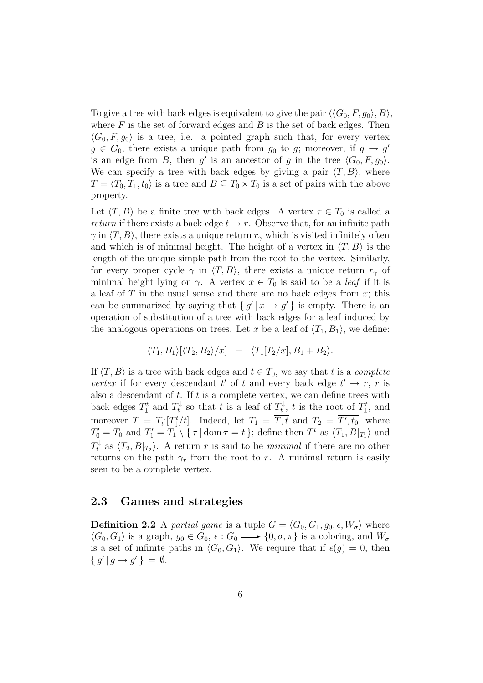To give a tree with back edges is equivalent to give the pair  $\langle\langle G_0, F, g_0 \rangle, B \rangle$ , where  $F$  is the set of forward edges and  $B$  is the set of back edges. Then  $\langle G_0, F, g_0 \rangle$  is a tree, i.e. a pointed graph such that, for every vertex  $g \in G_0$ , there exists a unique path from  $g_0$  to g; moreover, if  $g \to g'$ is an edge from B, then g' is an ancestor of g in the tree  $\langle G_0, F, g_0 \rangle$ . We can specify a tree with back edges by giving a pair  $\langle T, B \rangle$ , where  $T = \langle T_0, T_1, t_0 \rangle$  is a tree and  $B \subseteq T_0 \times T_0$  is a set of pairs with the above property.

Let  $\langle T, B \rangle$  be a finite tree with back edges. A vertex  $r \in T_0$  is called a return if there exists a back edge  $t \to r$ . Observe that, for an infinite path  $\gamma$  in  $\langle T,B\rangle$ , there exists a unique return  $r_{\gamma}$  which is visited infinitely often and which is of minimal height. The height of a vertex in  $\langle T, B \rangle$  is the length of the unique simple path from the root to the vertex. Similarly, for every proper cycle  $\gamma$  in  $\langle T,B \rangle$ , there exists a unique return  $r_{\gamma}$  of minimal height lying on  $\gamma$ . A vertex  $x \in T_0$  is said to be a *leaf* if it is a leaf of  $T$  in the usual sense and there are no back edges from  $x$ ; this can be summarized by saying that  $\{g' | x \rightarrow g' \}$  is empty. There is an operation of substitution of a tree with back edges for a leaf induced by the analogous operations on trees. Let x be a leaf of  $\langle T_1, B_1 \rangle$ , we define:

$$
\langle T_1, B_1 \rangle [\langle T_2, B_2 \rangle / x] = \langle T_1[T_2/x], B_1 + B_2 \rangle.
$$

If  $\langle T, B \rangle$  is a tree with back edges and  $t \in T_0$ , we say that t is a complete vertex if for every descendant t' of t and every back edge  $t' \rightarrow r$ , r is also a descendant of  $t$ . If  $t$  is a complete vertex, we can define trees with back edges  $T^t_\downarrow$  and  $T^t_\downarrow$  so that t is a leaf of  $T^t_\downarrow$ , t is the root of  $T^t_\downarrow$ , and moreover  $T = T_t^1[T_t^t/t]$ . Indeed, let  $T_1 = T$ , t and  $T_2 = T'$ , t<sub>0</sub>, where  $T' = T$  and  $T' = T_1$ ,  $T_2 = T_2$ ,  $T_3 = T_4$ ,  $T_4 = T_5$  $T_0' = T_0$  and  $T_1' = T_1 \setminus {\tau \mid \text{dom } \tau = t}$ ; define then  $T_1^t$  as  $\langle T_1, B |_{T_1} \rangle$  and  $T_t^{\downarrow}$  as  $\langle T_2, B|_{T_2} \rangle$ . A return r is said to be *minimal* if there are no other returns on the path  $\gamma_r$  from the root to r. A minimal return is easily seen to be a complete vertex.

#### **2.3 Games and strategies**

**Definition 2.2** A partial game is a tuple  $G = \langle G_0, G_1, g_0, \epsilon, W_{\sigma} \rangle$  where  $\langle G_0, G_1 \rangle$  is a graph,  $g_0 \in G_0$ ,  $\epsilon : G_0 \longrightarrow \{0, \sigma, \pi\}$  is a coloring, and  $W_{\sigma}$ is a set of infinite paths in  $\langle G_0, G_1 \rangle$ . We require that if  $\epsilon(g) = 0$ , then  ${g' | g \rightarrow g'} = \emptyset.$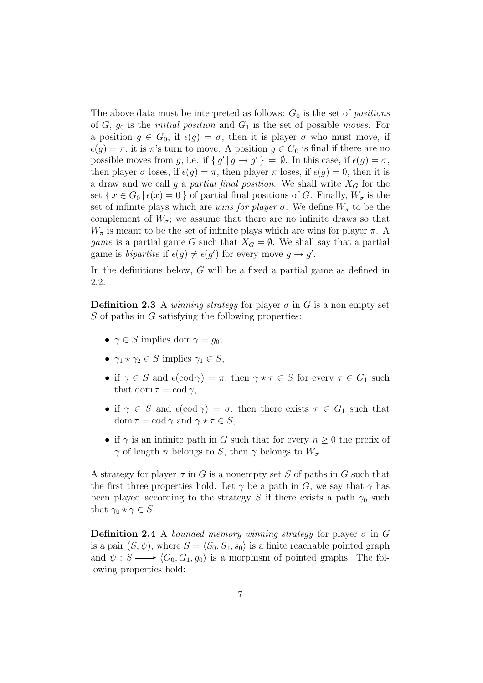The above data must be interpreted as follows:  $G_0$  is the set of *positions* of  $G$ ,  $g_0$  is the *initial position* and  $G_1$  is the set of possible moves. For a position  $g \in G_0$ , if  $\epsilon(g) = \sigma$ , then it is player  $\sigma$  who must move, if  $\epsilon(q) = \pi$ , it is  $\pi$ 's turn to move. A position  $q \in G_0$  is final if there are no possible moves from g, i.e. if  $\{g' | g \rightarrow g'\} = \emptyset$ . In this case, if  $\epsilon(g) = \sigma$ , then player  $\sigma$  loses, if  $\epsilon(g) = \pi$ , then player  $\pi$  loses, if  $\epsilon(g) = 0$ , then it is a draw and we call g a partial final position. We shall write  $X_G$  for the set  $\{x \in G_0 \mid \epsilon(x)=0\}$  of partial final positions of G. Finally,  $W_{\sigma}$  is the set of infinite plays which are *wins for player*  $\sigma$ . We define  $W_{\pi}$  to be the complement of  $W_{\sigma}$ ; we assume that there are no infinite draws so that  $W_{\pi}$  is meant to be the set of infinite plays which are wins for player  $\pi$ . A game is a partial game G such that  $X_G = \emptyset$ . We shall say that a partial game is *bipartite* if  $\epsilon(g) \neq \epsilon(g')$  for every move  $g \to g'$ .

In the definitions below, G will be a fixed a partial game as defined in 2.2.

**Definition 2.3** A winning strategy for player  $\sigma$  in G is a non empty set  $S$  of paths in  $G$  satisfying the following properties:

- $\gamma \in S$  implies dom  $\gamma = q_0$ ,
- $\gamma_1 \star \gamma_2 \in S$  implies  $\gamma_1 \in S$ ,
- if  $\gamma \in S$  and  $\epsilon(\text{cod } \gamma) = \pi$ , then  $\gamma * \tau \in S$  for every  $\tau \in G_1$  such that dom  $\tau = \text{cod } \gamma$ ,
- if  $\gamma \in S$  and  $\epsilon(\text{cod } \gamma) = \sigma$ , then there exists  $\tau \in G_1$  such that dom  $\tau = \text{cod } \gamma$  and  $\gamma \star \tau \in S$ ,
- if  $\gamma$  is an infinite path in G such that for every  $n \geq 0$  the prefix of  $γ$  of length *n* belongs to *S*, then  $γ$  belongs to  $W<sub>σ</sub>$ .

A strategy for player  $\sigma$  in G is a nonempty set S of paths in G such that the first three properties hold. Let  $\gamma$  be a path in G, we say that  $\gamma$  has been played according to the strategy S if there exists a path  $\gamma_0$  such that  $\gamma_0 \star \gamma \in S$ .

**Definition 2.4** A bounded memory winning strategy for player  $\sigma$  in G is a pair  $(S, \psi)$ , where  $S = \langle S_0, S_1, s_0 \rangle$  is a finite reachable pointed graph and  $\psi : S \longrightarrow \langle G_0, G_1, g_0 \rangle$  is a morphism of pointed graphs. The following properties hold: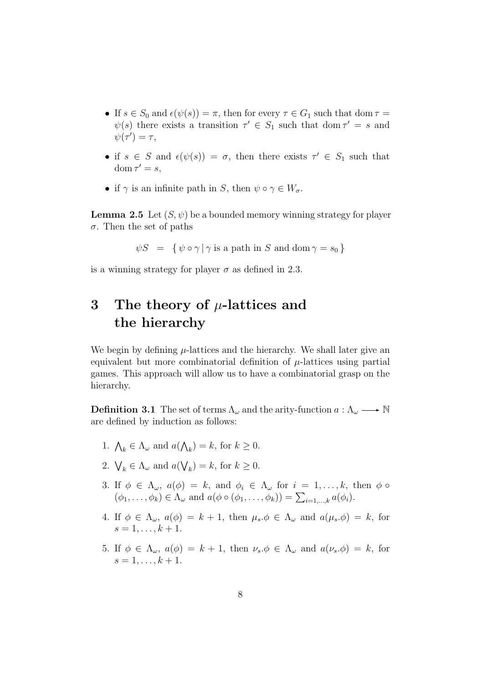- If  $s \in S_0$  and  $\epsilon(\psi(s)) = \pi$ , then for every  $\tau \in G_1$  such that dom  $\tau =$  $\psi(s)$  there exists a transition  $\tau' \in S_1$  such that dom  $\tau' = s$  and  $\psi(\tau')=\tau,$
- if  $s \in S$  and  $\epsilon(\psi(s)) = \sigma$ , then there exists  $\tau' \in S_1$  such that  $dom \tau' = s$ ,
- if  $\gamma$  is an infinite path in S, then  $\psi \circ \gamma \in W_{\sigma}$ .

**Lemma 2.5** Let  $(S, \psi)$  be a bounded memory winning strategy for player σ. Then the set of paths

 $\psi S = \{ \psi \circ \gamma \mid \gamma \text{ is a path in } S \text{ and } \text{dom } \gamma = s_0 \}$ 

is a winning strategy for player  $\sigma$  as defined in 2.3.

## **3 The theory of** µ**-lattices and the hierarchy**

We begin by defining  $\mu$ -lattices and the hierarchy. We shall later give an equivalent but more combinatorial definition of  $\mu$ -lattices using partial games. This approach will allow us to have a combinatorial grasp on the hierarchy.

**Definition 3.1** The set of terms  $\Lambda_{\omega}$  and the arity-function  $a : \Lambda_{\omega} \longrightarrow \mathbb{N}$ are defined by induction as follows:

- 1.  $\bigwedge_k \in \Lambda_\omega$  and  $a(\bigwedge_k) = k$ , for  $k \geq 0$ .
- 2.  $\bigvee_k \in \Lambda_\omega$  and  $a(\bigvee_k) = k$ , for  $k \geq 0$ .
- 3. If  $\phi \in \Lambda_{\omega}$ ,  $a(\phi) = k$ , and  $\phi_i \in \Lambda_{\omega}$  for  $i = 1, \ldots, k$ , then  $\phi \circ$  $(\phi_1,\ldots,\phi_k) \in \Lambda_\omega$  and  $a(\phi \circ (\phi_1,\ldots,\phi_k)) = \sum_{i=1,\ldots,k} a(\phi_i)$ .
- 4. If  $\phi \in \Lambda_{\omega}$ ,  $a(\phi) = k + 1$ , then  $\mu_s \phi \in \Lambda_{\omega}$  and  $a(\mu_s \phi) = k$ , for  $s = 1, \ldots, k + 1.$
- 5. If  $\phi \in \Lambda_{\omega}$ ,  $a(\phi) = k + 1$ , then  $\nu_s \phi \in \Lambda_{\omega}$  and  $a(\nu_s \phi) = k$ , for  $s = 1, \ldots, k + 1.$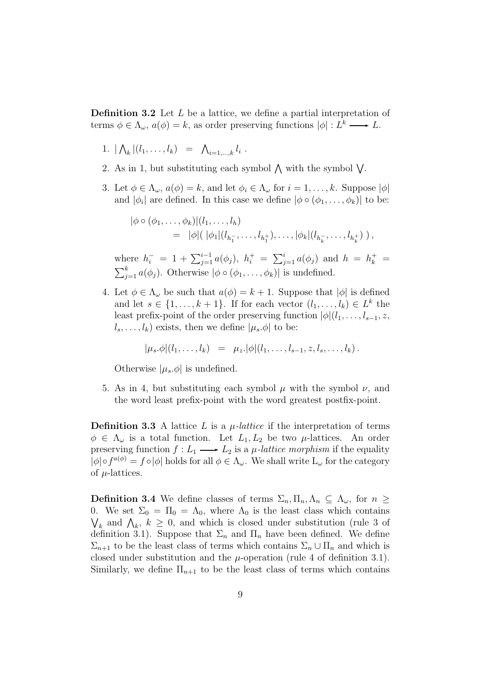**Definition 3.2** Let L be a lattice, we define a partial interpretation of terms  $\phi \in \Lambda_{\omega}, a(\phi) = k$ , as order preserving functions  $|\phi| : L^k \longrightarrow L$ .

- 1.  $|\bigwedge_k |(l_1,\ldots,l_k)| = \bigwedge_{i=1,\ldots,k} l_i$ .
- 2. As in 1, but substituting each symbol  $\bigwedge$  with the symbol  $\bigvee$ .
- 3. Let  $\phi \in \Lambda_{\omega}$ ,  $a(\phi) = k$ , and let  $\phi_i \in \Lambda_{\omega}$  for  $i = 1, \ldots, k$ . Suppose  $|\phi|$ and  $|\phi_i|$  are defined. In this case we define  $|\phi \circ (\phi_1, \dots, \phi_k)|$  to be:

$$
\begin{aligned} |\phi \circ (\phi_1, \dots, \phi_k)|(l_1, \dots, l_h) \\ &= |\phi|(\ |\phi_1|(l_{h_1^-}, \dots, l_{h_1^+}), \dots, |\phi_k|(l_{h_k^-}, \dots, l_{h_k^+})) \,, \end{aligned}
$$

where  $h_i^- = 1 + \sum_{j=1}^{i-1} a(\phi_j)$ ,  $h_i^+ = \sum_{j=1}^{i} a(\phi_j)$  and  $h = h_k^+ = \sum_{i=1}^{k} a(\phi_j)$ . Otherwise  $|\phi \circ (\phi_1, \dots, \phi_k)|$  is undefined.  $_{j=1}^{k} a(\phi_j)$ . Otherwise  $|\phi \circ (\phi_1, \ldots, \phi_k)|$  is undefined.

4. Let  $\phi \in \Lambda_{\omega}$  be such that  $a(\phi) = k + 1$ . Suppose that  $|\phi|$  is defined and let  $s \in \{1, \ldots, k+1\}$ . If for each vector  $(l_1, \ldots, l_k) \in L^k$  the least prefix-point of the order preserving function  $|\phi|(l_1,\ldots,l_{s-1},z,$  $l_s, \ldots, l_k)$  exists, then we define  $|\mu_s, \phi|$  to be:

$$
|\mu_s.\phi|(l_1,\ldots,l_k) = \mu_z.|\phi|(l_1,\ldots,l_{s-1},z,l_s,\ldots,l_k).
$$

Otherwise  $|\mu_s$ . $\phi|$  is undefined.

5. As in 4, but substituting each symbol  $\mu$  with the symbol  $\nu$ , and the word least prefix-point with the word greatest postfix-point.

**Definition 3.3** A lattice L is a  $\mu$ -lattice if the interpretation of terms  $\phi \in \Lambda_{\omega}$  is a total function. Let  $L_1, L_2$  be two  $\mu$ -lattices. An order preserving function  $f: L_1 \longrightarrow L_2$  is a  $\mu$ -lattice morphism if the equality  $|\phi| \circ f^{a(\phi)} = f \circ |\phi|$  holds for all  $\phi \in \Lambda_{\omega}$ . We shall write  $L_{\omega}$  for the category of  $\mu$ -lattices.

**Definition 3.4** We define classes of terms  $\Sigma_n$ ,  $\Pi_n$ ,  $\Lambda_n \subseteq \Lambda_\omega$ , for  $n \geq$ 0. We set  $\Sigma_0 = \Pi_0 = \Lambda_0$ , where  $\Lambda_0$  is the least class which contains  $\bigvee_k$  and  $\bigwedge_k$ ,  $k \geq 0$ , and which is closed under substitution (rule 3 of dofinition 3.1). Suppose that  $\Sigma$  and  $\Pi$  have been defined. We define definition 3.1). Suppose that  $\Sigma_n$  and  $\Pi_n$  have been defined. We define  $\Sigma_{n+1}$  to be the least class of terms which contains  $\Sigma_n \cup \Pi_n$  and which is closed under substitution and the  $\mu$ -operation (rule 4 of definition 3.1). Similarly, we define  $\Pi_{n+1}$  to be the least class of terms which contains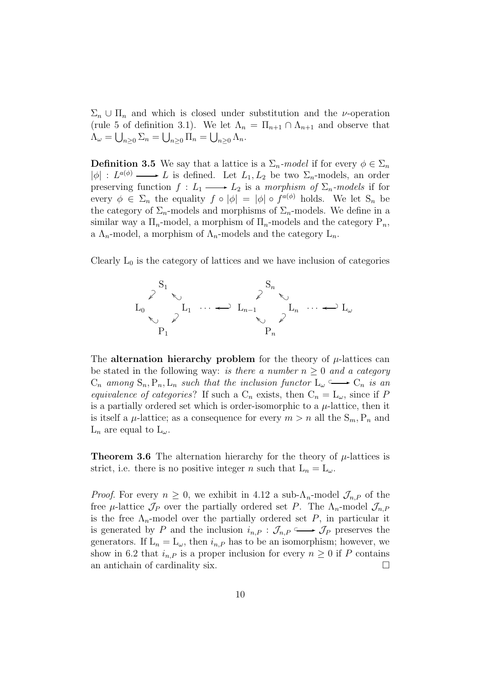$\Sigma_n \cup \Pi_n$  and which is closed under substitution and the *v*-operation (rule 5 of definition 3.1). We let  $\Lambda_n = \Pi_{n+1} \cap \Lambda_{n+1}$  and observe that  $\Lambda_{\omega} = \bigcup_{n \geq 0} \Sigma_n = \bigcup_{n \geq 0} \Pi_n = \bigcup_{n \geq 0} \Lambda_n.$ 

**Definition 3.5** We say that a lattice is a  $\Sigma_n$ -model if for every  $\phi \in \Sigma_n$  $|\phi| : L^{a(\phi)} \longrightarrow L$  is defined. Let  $L_1, L_2$  be two  $\Sigma_n$ -models, an order preserving function  $f: L_1 \longrightarrow L_2$  is a morphism of  $\Sigma_n$ -models if for every  $\phi \in \Sigma_n$  the equality  $f \circ |\phi| = |\phi| \circ f^{a(\phi)}$  holds. We let  $S_n$  be the category of  $\Sigma_n$ -models and morphisms of  $\Sigma_n$ -models. We define in a similar way a  $\Pi_n$ -model, a morphism of  $\Pi_n$ -models and the category  $P_n$ , a  $\Lambda_n$ -model, a morphism of  $\Lambda_n$ -models and the category  $L_n$ .

Clearly  $L_0$  is the category of lattices and we have inclusion of categories



The **alternation hierarchy problem** for the theory of  $\mu$ -lattices can be stated in the following way: is there a number  $n \geq 0$  and a category  $C_n$  among  $S_n, P_n, L_n$  such that the inclusion functor  $L_\omega \longrightarrow C_n$  is an equivalence of categories? If such a  $C_n$  exists, then  $C_n = L_{\omega}$ , since if P is a partially ordered set which is order-isomorphic to a  $\mu$ -lattice, then it is itself a  $\mu$ -lattice; as a consequence for every  $m>n$  all the  $S_m, P_n$  and  $L_n$  are equal to  $L_\omega$ .

**Theorem 3.6** The alternation hierarchy for the theory of  $\mu$ -lattices is strict, i.e. there is no positive integer n such that  $L_n = L_\omega$ .

*Proof.* For every  $n \geq 0$ , we exhibit in 4.12 a sub- $\Lambda_n$ -model  $\mathcal{J}_{n,P}$  of the free  $\mu$ -lattice  $\mathcal{J}_P$  over the partially ordered set P. The  $\Lambda_n$ -model  $\mathcal{J}_{n,P}$ is the free  $\Lambda_n$ -model over the partially ordered set P, in particular it is generated by P and the inclusion  $i_{n,P}$  :  $\mathcal{J}_{n,P} \longrightarrow \mathcal{J}_P$  preserves the generators. If  $L_n = L_{\omega}$ , then  $i_{n,P}$  has to be an isomorphism; however, we show in 6.2 that  $i_{n,P}$  is a proper inclusion for every  $n \geq 0$  if P contains an antichain of cardinality six. an antichain of cardinality six.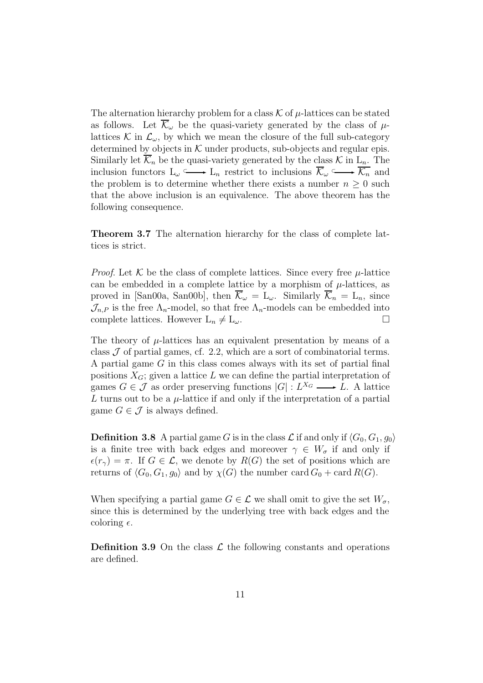The alternation hierarchy problem for a class  $\mathcal K$  of  $\mu$ -lattices can be stated as follows. Let  $\overline{\mathcal{K}}_{\omega}$  be the quasi-variety generated by the class of  $\mu$ lattices K in  $\mathcal{L}_{\omega}$ , by which we mean the closure of the full sub-category determined by objects in  $K$  under products, sub-objects and regular epis. Similarly let  $\overline{\mathcal{K}}_n$  be the quasi-variety generated by the class  $\mathcal{K}$  in  $L_n$ . The inclusion functors  $L_{\omega} \longrightarrow L_n$  restrict to inclusions  $\overline{\mathcal{K}}_{\omega} \longrightarrow \overline{\mathcal{K}}_n$  and the problem is to determine whether there exists a number  $n \geq 0$  such that the above inclusion is an equivalence. The above theorem has the following consequence.

**Theorem 3.7** The alternation hierarchy for the class of complete lattices is strict.

*Proof.* Let  $K$  be the class of complete lattices. Since every free  $\mu$ -lattice can be embedded in a complete lattice by a morphism of  $\mu$ -lattices, as proved in [San00a, San00b], then  $\overline{\mathcal{K}}_{\omega} = L_{\omega}$ . Similarly  $\overline{\mathcal{K}}_{n} = L_{n}$ , since  $\mathcal{J}_{n,P}$  is the free  $\Lambda_n$ -model, so that free  $\Lambda_n$ -models can be embedded into complete lattices. However  $\mathcal{L}_n \neq \mathcal{L}_n$ . complete lattices. However  $L_n \neq L_{\omega}$ .

The theory of  $\mu$ -lattices has an equivalent presentation by means of a class  $J$  of partial games, cf. 2.2, which are a sort of combinatorial terms. A partial game G in this class comes always with its set of partial final positions  $X_G$ ; given a lattice L we can define the partial interpretation of games  $G \in \mathcal{J}$  as order preserving functions  $|G| : L^{X_G} \longrightarrow L$ . A lattice L turns out to be a  $\mu$ -lattice if and only if the interpretation of a partial game  $G \in \mathcal{J}$  is always defined.

**Definition 3.8** A partial game G is in the class L if and only if  $\langle G_0, G_1, g_0 \rangle$ is a finite tree with back edges and moreover  $\gamma \in W_{\sigma}$  if and only if  $\epsilon(r_{\gamma}) = \pi$ . If  $G \in \mathcal{L}$ , we denote by  $R(G)$  the set of positions which are returns of  $\langle G_0, G_1, g_0 \rangle$  and by  $\chi(G)$  the number card  $G_0 + \text{card } R(G)$ .

When specifying a partial game  $G \in \mathcal{L}$  we shall omit to give the set  $W_{\sigma}$ , since this is determined by the underlying tree with back edges and the coloring  $\epsilon$ .

**Definition 3.9** On the class  $\mathcal{L}$  the following constants and operations are defined.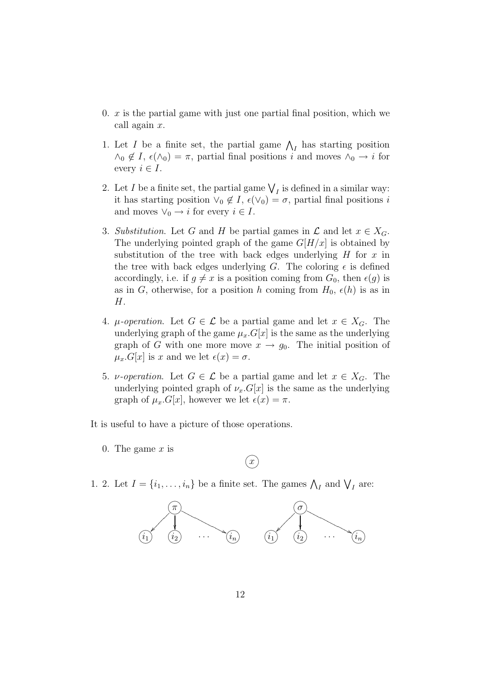- 0.  $x$  is the partial game with just one partial final position, which we call again x.
- 1. Let I be a finite set, the partial game  $\bigwedge_I$  has starting position  $\bigwedge_{\alpha \in I} I_{\alpha}(\bigwedge_{\alpha \in I} I_{\alpha}(\bigwedge_{\alpha \in I} I_{\alpha}) = \pi$ , partial final positions i and mayor  $\bigwedge_{\alpha \in I} I_{\alpha}$  for  $\wedge_0 \notin I$ ,  $\epsilon(\wedge_0) = \pi$ , partial final positions i and moves  $\wedge_0 \to i$  for every  $i \in I$ .
- 2. Let I be a finite set, the partial game  $\bigvee_I$  is defined in a similar way:<br>it has starting position  $\bigvee_I \mathcal{A}_I$   $\epsilon(\bigvee_I) = \epsilon$ , partial final positions is it has starting position  $\vee_0 \notin I$ ,  $\epsilon(\vee_0) = \sigma$ , partial final positions i and moves  $\vee_0 \rightarrow i$  for every  $i \in I$ .
- 3. Substitution. Let G and H be partial games in  $\mathcal L$  and let  $x \in X_G$ . The underlying pointed graph of the game  $G[H/x]$  is obtained by substitution of the tree with back edges underlying  $H$  for  $x$  in the tree with back edges underlying G. The coloring  $\epsilon$  is defined accordingly, i.e. if  $g \neq x$  is a position coming from  $G_0$ , then  $\epsilon(g)$  is as in G, otherwise, for a position h coming from  $H_0$ ,  $\epsilon(h)$  is as in H.
- 4.  $\mu$ -operation. Let  $G \in \mathcal{L}$  be a partial game and let  $x \in X_G$ . The underlying graph of the game  $\mu_x.G[x]$  is the same as the underlying graph of G with one more move  $x \to g_0$ . The initial position of  $\mu_x.G[x]$  is x and we let  $\epsilon(x) = \sigma$ .
- 5. *v*-operation. Let  $G \in \mathcal{L}$  be a partial game and let  $x \in X_G$ . The underlying pointed graph of  $\nu_x.G[x]$  is the same as the underlying graph of  $\mu_x.G[x]$ , however we let  $\epsilon(x) = \pi$ .
- It is useful to have a picture of those operations.
	- 0. The game  $x$  is



1. 2. Let  $I = \{i_1, \ldots, i_n\}$  be a finite set. The games  $\bigwedge_I$  and  $\bigvee_I$  are:

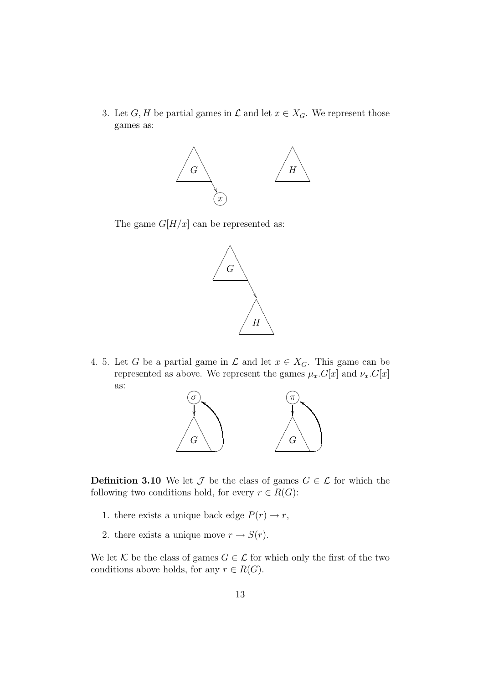3. Let G, H be partial games in  $\mathcal L$  and let  $x \in X_G$ . We represent those games as:





4. 5. Let G be a partial game in  $\mathcal L$  and let  $x \in X_G$ . This game can be represented as above. We represent the games  $\mu_x.G[x]$  and  $\nu_x.G[x]$ as:



**Definition 3.10** We let  $\mathcal{J}$  be the class of games  $G \in \mathcal{L}$  for which the following two conditions hold, for every  $r \in R(G)$ :

- 1. there exists a unique back edge  $P(r) \rightarrow r$ ,
- 2. there exists a unique move  $r \to S(r)$ .

We let K be the class of games  $G \in \mathcal{L}$  for which only the first of the two conditions above holds, for any  $r \in R(G)$ .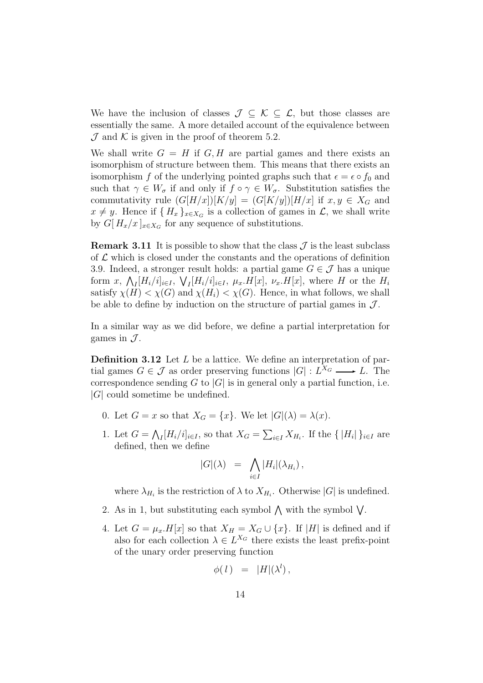We have the inclusion of classes  $\mathcal{J} \subseteq \mathcal{K} \subseteq \mathcal{L}$ , but those classes are essentially the same. A more detailed account of the equivalence between  $\mathcal J$  and  $\mathcal K$  is given in the proof of theorem 5.2.

We shall write  $G = H$  if  $G, H$  are partial games and there exists an isomorphism of structure between them. This means that there exists an isomorphism f of the underlying pointed graphs such that  $\epsilon = \epsilon \circ f_0$  and such that  $\gamma \in W_{\sigma}$  if and only if  $f \circ \gamma \in W_{\sigma}$ . Substitution satisfies the commutativity rule  $(G[H/x])[K/y]=(G[K/y])[H/x]$  if  $x, y \in X_G$  and  $x \neq y$ . Hence if  ${ H_x }_{x \in X_G}$  is a collection of games in  $\mathcal{L}$ , we shall write by  $G[H_x/x]_{x\in X_G}$  for any sequence of substitutions.

**Remark 3.11** It is possible to show that the class  $\mathcal{J}$  is the least subclass of  $\mathcal L$  which is closed under the constants and the operations of definition 3.9. Indeed, a stronger result holds: a partial game  $G \in \mathcal{J}$  has a unique form  $x$ ,  $\bigwedge_I [H_i/i]_{i\in I}$ ,  $\bigvee_I [H_i/i]_{i\in I}$ ,  $\mu_x$ .  $H[x]$ ,  $\nu_x$ .  $H[x]$ , where H or the  $H_i$ <br>satisfy  $\chi(H) \leq \chi(G)$  and  $\chi(H) \leq \chi(G)$ . Hence in what follows, we shall satisfy  $\chi(H) < \chi(G)$  and  $\chi(H_i) < \chi(G)$ . Hence, in what follows, we shall be able to define by induction on the structure of partial games in  $\mathcal{J}$ .

In a similar way as we did before, we define a partial interpretation for games in  $\mathcal{J}$ .

**Definition 3.12** Let L be a lattice. We define an interpretation of partial games  $G \in \mathcal{J}$  as order preserving functions  $|G| : L^{X_G} \longrightarrow L$ . The correspondence sending G to  $|G|$  is in general only a partial function, i.e.  $|G|$  could sometime be undefined.

- 0. Let  $G = x$  so that  $X_G = \{x\}$ . We let  $|G|(\lambda) = \lambda(x)$ .
- 1. Let  $G = \bigwedge_I [H_i/i]_{i \in I}$ , so that  $X_G = \sum_{i \in I} X_{H_i}$ . If the  $\{|H_i|\}_{i \in I}$  are defined then we define defined, then we define

$$
|G|(\lambda) = \bigwedge_{i \in I} |H_i|(\lambda_{H_i}),
$$

where  $\lambda_{H_i}$  is the restriction of  $\lambda$  to  $X_{H_i}$ . Otherwise  $|G|$  is undefined.

- 2. As in 1, but substituting each symbol  $\wedge$  with the symbol  $\vee$ .
- 4. Let  $G = \mu_x.H[x]$  so that  $X_H = X_G \cup \{x\}$ . If |H| is defined and if also for each collection  $\lambda \in L^{X_G}$  there exists the least prefix-point of the unary order preserving function

$$
\phi(\,l\,)\quad =\quad |H|(\lambda^l)\,,
$$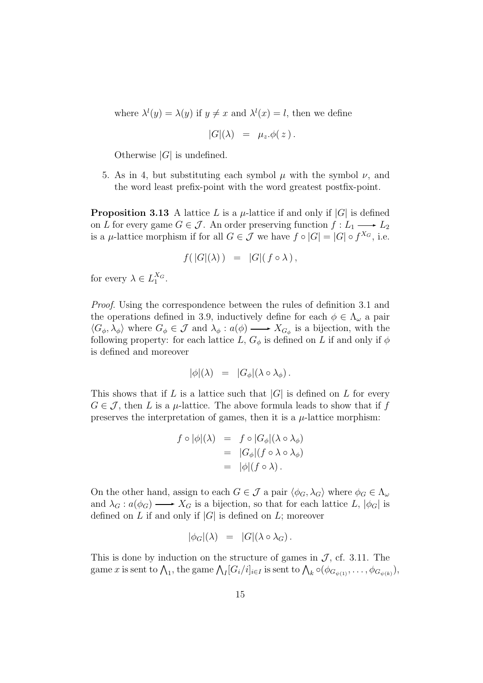where  $\lambda^l(y) = \lambda(y)$  if  $y \neq x$  and  $\lambda^l(x) = l$ , then we define

$$
|G|(\lambda) = \mu_z.\phi(z).
$$

Otherwise  $|G|$  is undefined.

5. As in 4, but substituting each symbol  $\mu$  with the symbol  $\nu$ , and the word least prefix-point with the word greatest postfix-point.

**Proposition 3.13** A lattice L is a  $\mu$ -lattice if and only if  $|G|$  is defined on L for every game  $G \in \mathcal{J}$ . An order preserving function  $f: L_1 \longrightarrow L_2$ is a  $\mu$ -lattice morphism if for all  $G \in \mathcal{J}$  we have  $f \circ |G| = |G| \circ f^{X_G}$ , i.e.

$$
f(|G|(\lambda)) = |G|(f \circ \lambda),
$$

for every  $\lambda \in L_1^{X_G}$ .

Proof. Using the correspondence between the rules of definition 3.1 and the operations defined in 3.9, inductively define for each  $\phi \in \Lambda_{\omega}$  a pair  $\langle G_{\phi}, \lambda_{\phi} \rangle$  where  $G_{\phi} \in \mathcal{J}$  and  $\lambda_{\phi} : a(\phi) \longrightarrow X_{G_{\phi}}$  is a bijection, with the following property: for each lattice L,  $G_{\phi}$  is defined on L if and only if  $\phi$ is defined and moreover

$$
|\phi|(\lambda) = |G_{\phi}|(\lambda \circ \lambda_{\phi}).
$$

This shows that if L is a lattice such that  $|G|$  is defined on L for every  $G \in \mathcal{J}$ , then L is a  $\mu$ -lattice. The above formula leads to show that if f preserves the interpretation of games, then it is a  $\mu$ -lattice morphism:

$$
f \circ |\phi|(\lambda) = f \circ |G_{\phi}|(\lambda \circ \lambda_{\phi})
$$
  
=  $|G_{\phi}|(f \circ \lambda \circ \lambda_{\phi})$   
=  $|\phi|(f \circ \lambda)$ .

On the other hand, assign to each  $G \in \mathcal{J}$  a pair  $\langle \phi_G, \lambda_G \rangle$  where  $\phi_G \in \Lambda_\omega$ and  $\lambda_G : a(\phi_G) \longrightarrow X_G$  is a bijection, so that for each lattice L,  $|\phi_G|$  is defined on L if and only if  $|G|$  is defined on L; moreover

$$
|\phi_G|(\lambda) = |G|(\lambda \circ \lambda_G).
$$

This is done by induction on the structure of games in  $\mathcal{J}$ , cf. 3.11. The game x is sent to  $\bigwedge_1$ , the game  $\bigwedge_I [G_i/i]_{i\in I}$  is sent to  $\bigwedge_k \circ (\phi_{G_{\psi(1)}}, \ldots, \phi_{G_{\psi(k)}}),$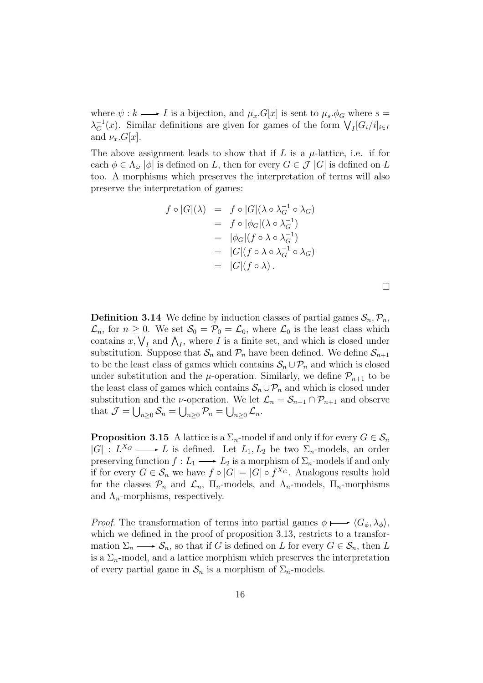where  $\psi : k \longrightarrow I$  is a bijection, and  $\mu_x.G[x]$  is sent to  $\mu_s.\phi_G$  where  $s =$  $\lambda_G^{-1}(x)$ . Similar definitions are given for games of the form  $\bigvee_I [G_i/i]_{i\in I}$ and  $\nu_x.G[x]$ .

The above assignment leads to show that if  $L$  is a  $\mu$ -lattice, i.e. if for each  $\phi \in \Lambda_{\omega}$  | $\phi$ | is defined on L, then for every  $G \in \mathcal{J}$  |G| is defined on L too. A morphisms which preserves the interpretation of terms will also preserve the interpretation of games:

$$
f \circ |G|(\lambda) = f \circ |G|(\lambda \circ \lambda_G^{-1} \circ \lambda_G)
$$
  
=  $f \circ |\phi_G|(\lambda \circ \lambda_G^{-1})$   
=  $|\phi_G|(f \circ \lambda \circ \lambda_G^{-1})$   
=  $|G|(f \circ \lambda \circ \lambda_G^{-1} \circ \lambda_G)$   
=  $|G|(f \circ \lambda)$ .

**Definition 3.14** We define by induction classes of partial games  $S_n$ ,  $\mathcal{P}_n$ ,  $\mathcal{L}_n$ , for  $n \geq 0$ . We set  $\mathcal{S}_0 = \mathcal{P}_0 = \mathcal{L}_0$ , where  $\mathcal{L}_0$  is the least class which contains  $x, V_I$  and  $\Lambda_I$ , where I is a finite set, and which is closed under<br>substitution. Suppose that S, and  $\mathcal{P}_I$  have been defined. We define S. substitution. Suppose that  $S_n$  and  $\mathcal{P}_n$  have been defined. We define  $S_{n+1}$ to be the least class of games which contains  $S_n \cup \mathcal{P}_n$  and which is closed under substitution and the  $\mu$ -operation. Similarly, we define  $\mathcal{P}_{n+1}$  to be the least class of games which contains  $S_n \cup \mathcal{P}_n$  and which is closed under substitution and the *v*-operation. We let  $\mathcal{L}_n = \mathcal{S}_{n+1} \cap \mathcal{P}_{n+1}$  and observe that  $\mathcal{J} = \bigcup_{n\geq 0} \mathcal{S}_n = \bigcup_{n\geq 0} \mathcal{P}_n = \bigcup_{n\geq 0} \mathcal{L}_n$ .

**Proposition 3.15** A lattice is a  $\Sigma_n$ -model if and only if for every  $G \in \mathcal{S}_n$  $|G| : L^{X_G} \longrightarrow L$  is defined. Let  $L_1, L_2$  be two  $\Sigma_n$ -models, an order preserving function  $f: L_1 \longrightarrow L_2$  is a morphism of  $\Sigma_n$ -models if and only if for every  $G \in \mathcal{S}_n$  we have  $f \circ |G| = |G| \circ f^{X_G}$ . Analogous results hold for the classes  $\mathcal{P}_n$  and  $\mathcal{L}_n$ ,  $\Pi_n$ -models, and  $\Lambda_n$ -models,  $\Pi_n$ -morphisms and  $\Lambda_n$ -morphisms, respectively.

*Proof.* The transformation of terms into partial games  $\phi \mapsto \langle G_{\phi}, \lambda_{\phi} \rangle$ , which we defined in the proof of proposition 3.13, restricts to a transformation  $\Sigma_n \longrightarrow \mathcal{S}_n$ , so that if G is defined on L for every  $G \in \mathcal{S}_n$ , then L is a  $\Sigma_n$ -model, and a lattice morphism which preserves the interpretation of every partial game in  $S_n$  is a morphism of  $\Sigma_n$ -models.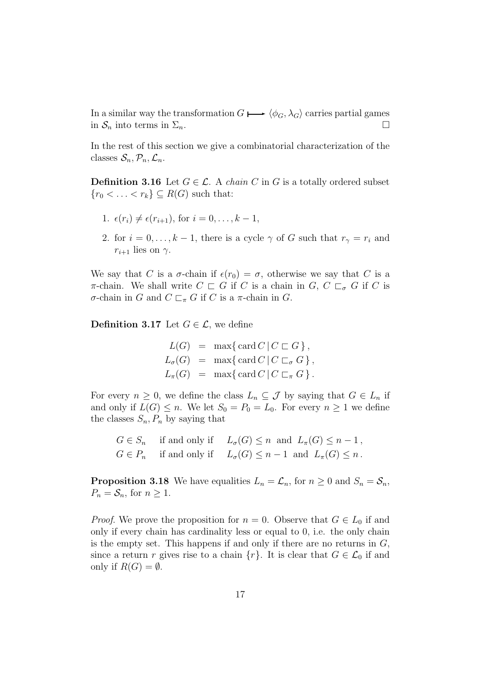In a similar way the transformation  $G \mapsto \langle \phi_G, \lambda_G \rangle$  carries partial games<br>in  $S_n$  into terms in  $\Sigma_n$ . in  $S_n$  into terms in  $\Sigma_n$ .

In the rest of this section we give a combinatorial characterization of the classes  $S_n, \mathcal{P}_n, \mathcal{L}_n$ .

**Definition 3.16** Let  $G \in \mathcal{L}$ . A *chain* C in G is a totally ordered subset  ${r_0 < \ldots < r_k} \subseteq R(G)$  such that:

- 1.  $\epsilon(r_i) \neq \epsilon(r_{i+1}),$  for  $i = 0, ..., k 1$ ,
- 2. for  $i = 0, \ldots, k 1$ , there is a cycle  $\gamma$  of G such that  $r_{\gamma} = r_i$  and  $r_{i+1}$  lies on  $\gamma$ .

We say that C is a  $\sigma$ -chain if  $\epsilon(r_0) = \sigma$ , otherwise we say that C is a π-chain. We shall write  $C \subset G$  if C is a chain in  $G, C \subset_{\sigma} G$  if C is σ-chain in G and  $C \sqsubset_{\pi} G$  if C is a π-chain in G.

**Definition 3.17** Let  $G \in \mathcal{L}$ , we define

 $L(G) = \max\{\operatorname{card} C \mid C \sqsubset G\},\$  $L_{\sigma}(G) = \max\{\operatorname{card} C \mid C \sqsubset_{\sigma} G\},\$  $L_{\pi}(G) = \max \{ \operatorname{card} C \mid C \sqsubset_{\pi} G \}.$ 

For every  $n \geq 0$ , we define the class  $L_n \subseteq \mathcal{J}$  by saying that  $G \in L_n$  if and only if  $L(G) \leq n$ . We let  $S_0 = P_0 = L_0$ . For every  $n \geq 1$  we define the classes  $S_n, P_n$  by saying that

$$
G \in S_n \quad \text{if and only if} \quad L_{\sigma}(G) \le n \text{ and } L_{\pi}(G) \le n - 1,
$$
  

$$
G \in P_n \quad \text{if and only if} \quad L_{\sigma}(G) \le n - 1 \text{ and } L_{\pi}(G) \le n.
$$

**Proposition 3.18** We have equalities  $L_n = \mathcal{L}_n$ , for  $n \geq 0$  and  $S_n = \mathcal{S}_n$ ,  $P_n = S_n$ , for  $n \geq 1$ .

*Proof.* We prove the proposition for  $n = 0$ . Observe that  $G \in L_0$  if and only if every chain has cardinality less or equal to 0, i.e. the only chain is the empty set. This happens if and only if there are no returns in  $G$ , since a return r gives rise to a chain  $\{r\}$ . It is clear that  $G \in \mathcal{L}_0$  if and only if  $R(G) = \emptyset$ .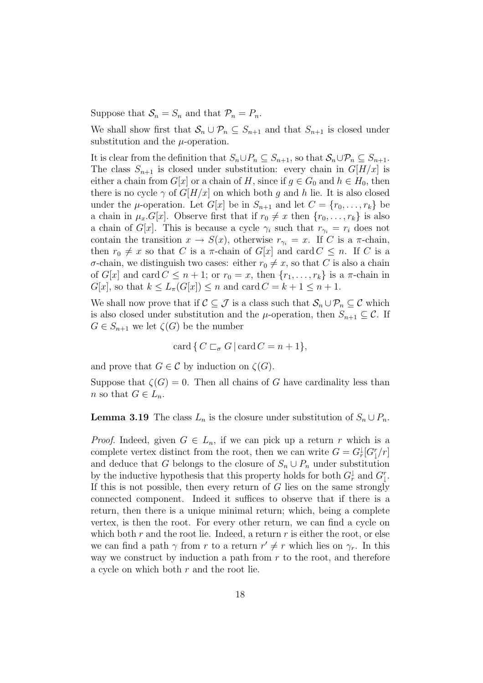Suppose that  $S_n = S_n$  and that  $\mathcal{P}_n = P_n$ .

We shall show first that  $S_n \cup \mathcal{P}_n \subseteq S_{n+1}$  and that  $S_{n+1}$  is closed under substitution and the  $\mu$ -operation.

It is clear from the definition that  $S_n \cup P_n \subseteq S_{n+1}$ , so that  $S_n \cup P_n \subseteq S_{n+1}$ . The class  $S_{n+1}$  is closed under substitution: every chain in  $G[H/x]$  is either a chain from  $G[x]$  or a chain of H, since if  $g \in G_0$  and  $h \in H_0$ , then there is no cycle  $\gamma$  of  $G[H/x]$  on which both g and h lie. It is also closed under the  $\mu$ -operation. Let  $G[x]$  be in  $S_{n+1}$  and let  $C = \{r_0, \ldots, r_k\}$  be a chain in  $\mu_x \cdot G[x]$ . Observe first that if  $r_0 \neq x$  then  $\{r_0, \ldots, r_k\}$  is also a chain of G[x]. This is because a cycle  $\gamma_i$  such that  $r_{\gamma_i} = r_i$  does not contain the transition  $x \to S(x)$ , otherwise  $r_{\gamma_i} = x$ . If C is a  $\pi$ -chain, then  $r_0 \neq x$  so that C is a  $\pi$ -chain of  $G[x]$  and card  $C \leq n$ . If C is a σ-chain, we distinguish two cases: either  $r_0 \neq x$ , so that C is also a chain of  $G[x]$  and card  $C \leq n+1$ ; or  $r_0 = x$ , then  $\{r_1, \ldots, r_k\}$  is a  $\pi$ -chain in  $G[x]$ , so that  $k \leq L_{\pi}(G[x]) \leq n$  and card  $C = k + 1 \leq n + 1$ .

We shall now prove that if  $C \subseteq \mathcal{J}$  is a class such that  $\mathcal{S}_n \cup \mathcal{P}_n \subseteq \mathcal{C}$  which is also closed under substitution and the  $\mu$ -operation, then  $S_{n+1} \subseteq \mathcal{C}$ . If  $G \in S_{n+1}$  we let  $\zeta(G)$  be the number

$$
\operatorname{card} \{ C \sqsubset_{\sigma} G \, | \, \operatorname{card} C = n + 1 \},\
$$

and prove that  $G \in \mathcal{C}$  by induction on  $\zeta(G)$ .

Suppose that  $\zeta(G) = 0$ . Then all chains of G have cardinality less than n so that  $G \in L_n$ .

**Lemma 3.19** The class  $L_n$  is the closure under substitution of  $S_n \cup P_n$ .

*Proof.* Indeed, given  $G \in L_n$ , if we can pick up a return r which is a complete vertex distinct from the root, then we can write  $G = G^{\downarrow}_r[G^r_1/r]$ and deduce that G belongs to the closure of  $S_n \cup P_n$  under substitution by the inductive hypothesis that this property holds for both  $G^{\downarrow}_{r}$  and  $G^{\tau}_{\downarrow}$ .<br>If this is not possible, then every return of G lies on the same strength If this is not possible, then every return of  $G$  lies on the same strongly connected component. Indeed it suffices to observe that if there is a return, then there is a unique minimal return; which, being a complete vertex, is then the root. For every other return, we can find a cycle on which both  $r$  and the root lie. Indeed, a return  $r$  is either the root, or else we can find a path  $\gamma$  from r to a return  $r' \neq r$  which lies on  $\gamma_r$ . In this way we construct by induction a path from  $r$  to the root, and therefore a cycle on which both r and the root lie.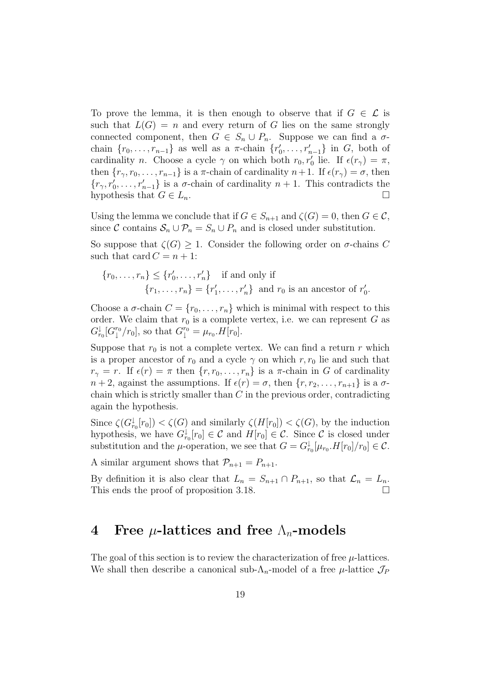To prove the lemma, it is then enough to observe that if  $G \in \mathcal{L}$  is such that  $L(G) = n$  and every return of G lies on the same strongly connected component, then  $G \in S_n \cup P_n$ . Suppose we can find a  $\sigma$ chain  $\{r_0, \ldots, r_{n-1}\}\$  as well as a  $\pi$ -chain  $\{r'_0, \ldots, r'_{n-1}\}\$  in G, both of cardinality n. Choose a cycle  $\gamma$  on which both  $r_0, r'_0$  lie. If  $\epsilon(r_\gamma) = \pi$ , then  $\{r_{\gamma}, r_0, \ldots, r_{n-1}\}$  is a  $\pi$ -chain of cardinality  $n+1$ . If  $\epsilon(r_{\gamma}) = \sigma$ , then  ${r_{\gamma}, r'_0, \ldots, r'_{n-1}}$  is a  $\sigma$ -chain of cardinality  $n + 1$ . This contradicts the bunctbosis that  $C \subset I$ hypothesis that  $G \in L_n$ .

Using the lemma we conclude that if  $G \in S_{n+1}$  and  $\zeta(G) = 0$ , then  $G \in \mathcal{C}$ , since C contains  $S_n \cup \mathcal{P}_n = S_n \cup P_n$  and is closed under substitution.

So suppose that  $\zeta(G) \geq 1$ . Consider the following order on  $\sigma$ -chains C such that card  $C = n + 1$ :

$$
\{r_0, \ldots, r_n\} \leq \{r'_0, \ldots, r'_n\} \quad \text{if and only if}
$$

$$
\{r_1, \ldots, r_n\} = \{r'_1, \ldots, r'_n\} \quad \text{and } r_0 \text{ is an ancestor of } r'_0.
$$

Choose a  $\sigma$ -chain  $C = \{r_0, \ldots, r_n\}$  which is minimal with respect to this order. We claim that  $r_0$  is a complete vertex, i.e. we can represent G as  $G_{r_0}^{\downarrow}[G_{\downarrow}^{r_0}/r_0],$  so that  $G_{\downarrow}^{r_0} = \mu_{r_0}.H[r_0].$ 

Suppose that  $r_0$  is not a complete vertex. We can find a return r which is a proper ancestor of  $r_0$  and a cycle  $\gamma$  on which r,  $r_0$  lie and such that  $r_{\gamma} = r$ . If  $\epsilon(r) = \pi$  then  $\{r, r_0, \ldots, r_n\}$  is a  $\pi$ -chain in G of cardinality  $n+2$ , against the assumptions. If  $\epsilon(r) = \sigma$ , then  $\{r, r_2, \ldots, r_{n+1}\}$  is a  $\sigma$ chain which is strictly smaller than  $C$  in the previous order, contradicting again the hypothesis.

Since  $\zeta(G_v^{\dagger}[r_0]) < \zeta(G)$  and similarly  $\zeta(H[r_0]) < \zeta(G)$ , by the induction<br>by the induction we have  $G^{\dagger}[r_0] \subset \mathcal{C}$  and  $H[r_0] \subset \mathcal{C}$ . Since  $\mathcal{C}$  is closed under hypothesis, we have  $G_{r_0}^{\downarrow}[r_0] \in \mathcal{C}$  and  $H[r_0] \in \mathcal{C}$ . Since  $\mathcal{C}$  is closed under<br>cubetitution and the u operation we see that  $C = C^{\downarrow}[\mu, H[x]/x] \in \mathcal{C}$ . substitution and the  $\mu$ -operation, we see that  $G = G_{r_0}^{\downarrow}[\mu_{r_0}.H[r_0]/r_0] \in \mathcal{C}$ .

A similar argument shows that  $\mathcal{P}_{n+1} = P_{n+1}$ .

By definition it is also clear that  $L_n = S_{n+1} \cap P_{n+1}$ , so that  $\mathcal{L}_n = L_n$ . This ends the proof of proposition 3.18.

## **4** Free  $\mu$ -lattices and free  $\Lambda_n$ -models

The goal of this section is to review the characterization of free  $\mu$ -lattices. We shall then describe a canonical sub- $\Lambda_n$ -model of a free  $\mu$ -lattice  $\mathcal{J}_P$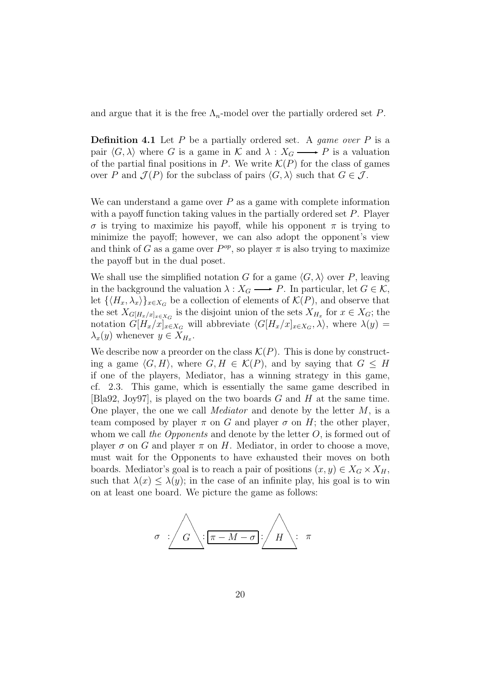and argue that it is the free  $\Lambda_n$ -model over the partially ordered set P.

**Definition 4.1** Let  $P$  be a partially ordered set. A *game over*  $P$  is a pair  $\langle G, \lambda \rangle$  where G is a game in K and  $\lambda : X_G \longrightarrow P$  is a valuation of the partial final positions in P. We write  $\mathcal{K}(P)$  for the class of games over P and  $\mathcal{J}(P)$  for the subclass of pairs  $\langle G, \lambda \rangle$  such that  $G \in \mathcal{J}$ .

We can understand a game over  $P$  as a game with complete information with a payoff function taking values in the partially ordered set P. Player  $\sigma$  is trying to maximize his payoff, while his opponent  $\pi$  is trying to minimize the payoff; however, we can also adopt the opponent's view and think of G as a game over  $P^{op}$ , so player  $\pi$  is also trying to maximize the payoff but in the dual poset.

We shall use the simplified notation G for a game  $\langle G, \lambda \rangle$  over P, leaving in the background the valuation  $\lambda : X_G \longrightarrow P$ . In particular, let  $G \in \mathcal{K}$ , let  $\{\langle H_x, \lambda_x \rangle\}_{x \in X_G}$  be a collection of elements of  $\mathcal{K}(P)$ , and observe that the set  $X_{G[H_x/x]_{x\in X_G}}$  is the disjoint union of the sets  $X_{H_x}$  for  $x \in X_G$ ; the notation  $G[H_x/x]_{x\in X_G}$  will abbreviate  $\langle G[H_x/x]_{x\in X_G}, \lambda \rangle$ , where  $\lambda(y) =$  $\lambda_x(y)$  whenever  $y \in X_{H_x}$ .

We describe now a preorder on the class  $\mathcal{K}(P)$ . This is done by constructing a game  $\langle G, H \rangle$ , where  $G, H \in \mathcal{K}(P)$ , and by saying that  $G \leq H$ if one of the players, Mediator, has a winning strategy in this game, cf. 2.3. This game, which is essentially the same game described in  $[Bla92, Joy97]$ , is played on the two boards G and H at the same time. One player, the one we call *Mediator* and denote by the letter  $M$ , is a team composed by player  $\pi$  on G and player  $\sigma$  on H; the other player, whom we call the Opponents and denote by the letter  $O$ , is formed out of player  $\sigma$  on G and player  $\pi$  on H. Mediator, in order to choose a move, must wait for the Opponents to have exhausted their moves on both boards. Mediator's goal is to reach a pair of positions  $(x, y) \in X_G \times X_H$ , such that  $\lambda(x) \leq \lambda(y)$ ; in the case of an infinite play, his goal is to win on at least one board. We picture the game as follows:

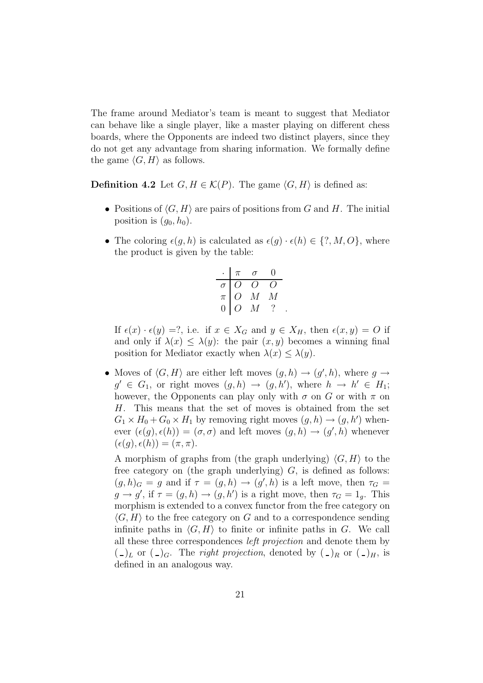The frame around Mediator's team is meant to suggest that Mediator can behave like a single player, like a master playing on different chess boards, where the Opponents are indeed two distinct players, since they do not get any advantage from sharing information. We formally define the game  $\langle G, H \rangle$  as follows.

**Definition 4.2** Let  $G, H \in \mathcal{K}(P)$ . The game  $\langle G, H \rangle$  is defined as:

- Positions of  $\langle G, H \rangle$  are pairs of positions from G and H. The initial position is  $(g_0, h_0)$ .
- The coloring  $\epsilon(g, h)$  is calculated as  $\epsilon(g) \cdot \epsilon(h) \in \{?, M, O\}$ , where the product is given by the table:

|                | $\pi$ | $\sigma$    | 0 |  |
|----------------|-------|-------------|---|--|
| $\sigma$       | Ω     | ( )         |   |  |
| $\pi$          | 0     | $M_{\odot}$ | M |  |
| $\overline{0}$ | ( )   | M           |   |  |

If  $\epsilon(x) \cdot \epsilon(y) = ?$ , i.e. if  $x \in X_G$  and  $y \in X_H$ , then  $\epsilon(x, y) = O$  if and only if  $\lambda(x) \leq \lambda(y)$ : the pair  $(x, y)$  becomes a winning final position for Mediator exactly when  $\lambda(x) \leq \lambda(y)$ .

• Moves of  $\langle G, H \rangle$  are either left moves  $(g, h) \to (g', h)$ , where  $g \to$  $g' \in G_1$ , or right moves  $(g,h) \to (g,h')$ , where  $h \to h' \in H_1$ ; however, the Opponents can play only with  $\sigma$  on G or with  $\pi$  on H. This means that the set of moves is obtained from the set  $G_1 \times H_0 + G_0 \times H_1$  by removing right moves  $(g, h) \to (g, h')$  whenever  $(\epsilon(g), \epsilon(h)) = (\sigma, \sigma)$  and left moves  $(g, h) \to (g', h)$  whenever  $(\epsilon(q), \epsilon(h)) = (\pi, \pi).$ 

A morphism of graphs from (the graph underlying)  $\langle G, H \rangle$  to the free category on (the graph underlying)  $G$ , is defined as follows:  $(g, h)_G = g$  and if  $\tau = (g, h) \rightarrow (g', h)$  is a left move, then  $\tau_G =$  $g \to g'$ , if  $\tau = (g, h) \to (g, h')$  is a right move, then  $\tau_G = 1_g$ . This morphism is extended to a convex functor from the free category on  $\langle G, H \rangle$  to the free category on G and to a correspondence sending infinite paths in  $\langle G, H \rangle$  to finite or infinite paths in G. We call all these three correspondences left projection and denote them by  $(\Box)_L$  or  $(\Box)_G$ . The *right projection*, denoted by  $(\Box)_R$  or  $(\Box)_H$ , is defined in an analogous way.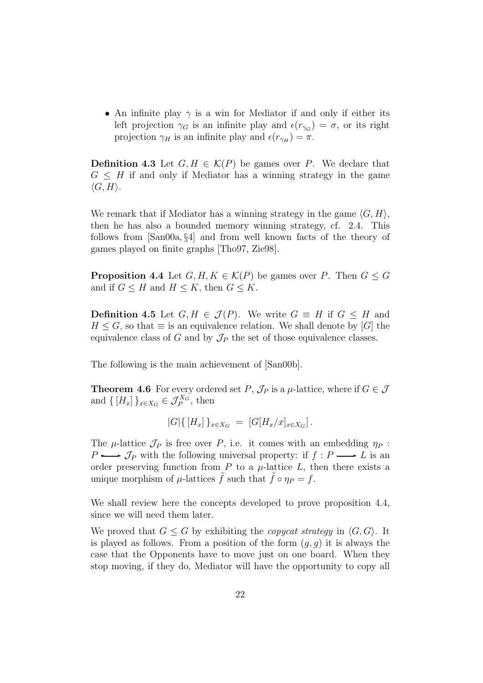• An infinite play  $\gamma$  is a win for Mediator if and only if either its left projection  $\gamma_G$  is an infinite play and  $\epsilon(r_{\gamma_G}) = \sigma$ , or its right projection  $\gamma_H$  is an infinite play and  $\epsilon(r_{\gamma_H}) = \pi$ .

**Definition 4.3** Let  $G, H \in \mathcal{K}(P)$  be games over P. We declare that  $G \leq H$  if and only if Mediator has a winning strategy in the game  $\langle G, H \rangle$ .

We remark that if Mediator has a winning strategy in the game  $\langle G, H \rangle$ , then he has also a bounded memory winning strategy, cf. 2.4. This follows from [San00a, §4] and from well known facts of the theory of games played on finite graphs [Tho97, Zie98].

**Proposition 4.4** Let  $G, H, K \in \mathcal{K}(P)$  be games over P. Then  $G \leq G$ and if  $G \leq H$  and  $H \leq K$ , then  $G \leq K$ .

**Definition 4.5** Let  $G, H \in \mathcal{J}(P)$ . We write  $G \equiv H$  if  $G \leq H$  and  $H \leq G$ , so that  $\equiv$  is an equivalence relation. We shall denote by [G] the equivalence class of G and by  $\mathcal{J}_P$  the set of those equivalence classes.

The following is the main achievement of [San00b].

**Theorem 4.6** For every ordered set P,  $\mathcal{J}_P$  is a  $\mu$ -lattice, where if  $G \in \mathcal{J}$ and  $\{[H_x]\}_{x \in X_G} \in \mathcal{J}_P^{X_G}$ , then

$$
|G|\{[H_x]\}_{x \in X_G} = [G[H_x/x]_{x \in X_G}].
$$

The  $\mu$ -lattice  $\mathcal{J}_P$  is free over P, i.e. it comes with an embedding  $\eta_P$ :  $P \longrightarrow \mathcal{J}_P$  with the following universal property: if  $f : P \longrightarrow L$  is an order preserving function from  $P$  to a  $\mu$ -lattice  $L$ , then there exists a unique morphism of  $\mu$ -lattices  $\tilde{f}$  such that  $\tilde{f} \circ \eta_P = f$ .

We shall review here the concepts developed to prove proposition 4.4, since we will need them later.

We proved that  $G \leq G$  by exhibiting the *copycat strategy* in  $\langle G, G \rangle$ . It is played as follows. From a position of the form  $(q, q)$  it is always the case that the Opponents have to move just on one board. When they stop moving, if they do, Mediator will have the opportunity to copy all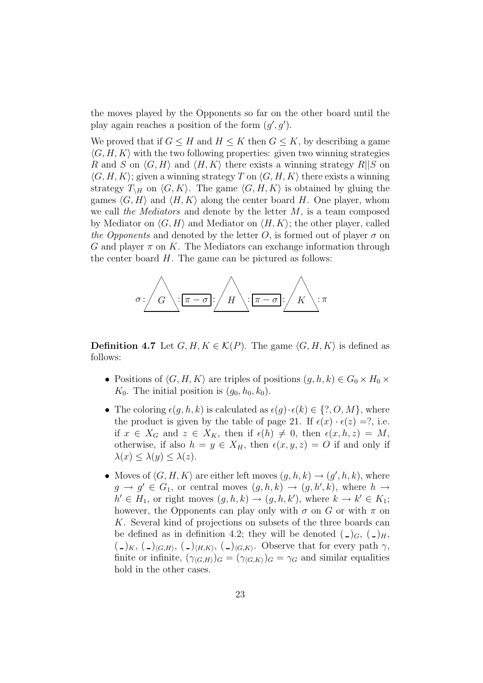the moves played by the Opponents so far on the other board until the play again reaches a position of the form  $(g', g')$ .

We proved that if  $G \leq H$  and  $H \leq K$  then  $G \leq K$ , by describing a game  $\langle G, H, K \rangle$  with the two following properties: given two winning strategies R and S on  $\langle G, H \rangle$  and  $\langle H, K \rangle$  there exists a winning strategy R||S on  $\langle G, H, K \rangle$ ; given a winning strategy T on  $\langle G, H, K \rangle$  there exists a winning strategy  $T_{\backslash H}$  on  $\langle G, K \rangle$ . The game  $\langle G, H, K \rangle$  is obtained by gluing the games  $\langle G, H \rangle$  and  $\langle H, K \rangle$  along the center board H. One player, whom we call the Mediators and denote by the letter  $M$ , is a team composed by Mediator on  $\langle G, H \rangle$  and Mediator on  $\langle H, K \rangle$ ; the other player, called the Opponents and denoted by the letter O, is formed out of player  $\sigma$  on G and player  $\pi$  on K. The Mediators can exchange information through the center board  $H$ . The game can be pictured as follows:



**Definition 4.7** Let  $G, H, K \in \mathcal{K}(P)$ . The game  $\langle G, H, K \rangle$  is defined as follows:

- Positions of  $\langle G, H, K \rangle$  are triples of positions  $(g, h, k) \in G_0 \times H_0 \times$  $K_0$ . The initial position is  $(g_0, h_0, k_0)$ .
- The coloring  $\epsilon(q, h, k)$  is calculated as  $\epsilon(q) \cdot \epsilon(k) \in \{?, O, M\}$ , where the product is given by the table of page 21. If  $\epsilon(x) \cdot \epsilon(z) = ?$ , i.e. if  $x \in X_G$  and  $z \in X_K$ , then if  $\epsilon(h) \neq 0$ , then  $\epsilon(x, h, z) = M$ , otherwise, if also  $h = y \in X_H$ , then  $\epsilon(x, y, z) = O$  if and only if  $\lambda(x) < \lambda(y) < \lambda(z)$ .
- Moves of  $\langle G, H, K \rangle$  are either left moves  $(g, h, k) \rightarrow (g', h, k)$ , where  $g \to g' \in G_1$ , or central moves  $(g, h, k) \to (g, h', k)$ , where  $h \to$  $h' \in H_1$ , or right moves  $(g, h, k) \to (g, h, k')$ , where  $k \to k' \in K_1$ ; however, the Opponents can play only with  $\sigma$  on G or with  $\pi$  on K. Several kind of projections on subsets of the three boards can be defined as in definition 4.2; they will be denoted  $(\, \_)G, (\, \_)H,$  $(\Box)_K$ ,  $(\Box)_{\langle G,H\rangle}$ ,  $(\Box)_{\langle H,K\rangle}$ ,  $(\Box)_{\langle G,K\rangle}$ . Observe that for every path  $\gamma$ , finite or infinite,  $(\gamma_{\langle G,H \rangle})_G = (\gamma_{\langle G,K \rangle})_G = \gamma_G$  and similar equalities hold in the other cases.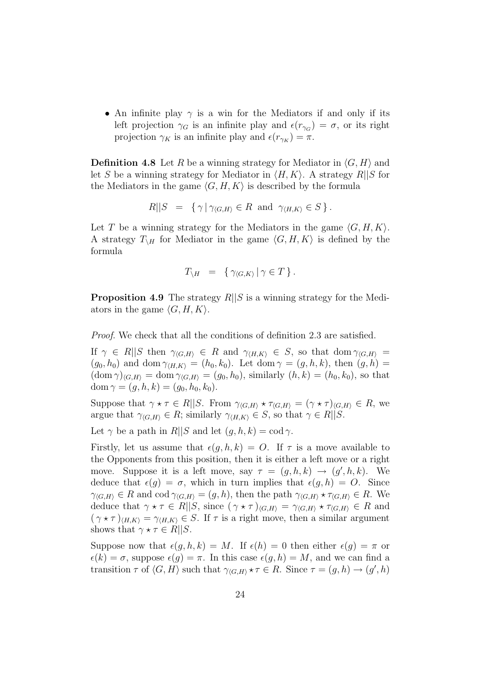• An infinite play  $\gamma$  is a win for the Mediators if and only if its left projection  $\gamma_G$  is an infinite play and  $\epsilon(r_{\gamma_G}) = \sigma$ , or its right projection  $\gamma_K$  is an infinite play and  $\epsilon(r_{\gamma_K}) = \pi$ .

**Definition 4.8** Let R be a winning strategy for Mediator in  $\langle G, H \rangle$  and let S be a winning strategy for Mediator in  $\langle H, K \rangle$ . A strategy R||S for the Mediators in the game  $\langle G, H, K \rangle$  is described by the formula

$$
R||S = {\gamma | \gamma_{\langle G,H \rangle} \in R \text{ and } \gamma_{\langle H,K \rangle} \in S}.
$$

Let T be a winning strategy for the Mediators in the game  $\langle G, H, K \rangle$ . A strategy  $T_{\backslash H}$  for Mediator in the game  $\langle G, H, K \rangle$  is defined by the formula

$$
T_{\setminus H} = \{ \gamma_{\langle G, K \rangle} | \gamma \in T \}.
$$

**Proposition 4.9** The strategy  $R||S$  is a winning strategy for the Mediators in the game  $\langle G, H, K \rangle$ .

Proof. We check that all the conditions of definition 2.3 are satisfied.

If  $\gamma \in R \parallel S$  then  $\gamma_{\langle G,H \rangle} \in R$  and  $\gamma_{\langle H,K \rangle} \in S$ , so that dom  $\gamma_{\langle G,H \rangle} =$  $(g_0, h_0)$  and dom  $\gamma_{\langle H, K \rangle} = (h_0, k_0)$ . Let dom  $\gamma = (g, h, k)$ , then  $(g, h)$  $(\text{dom }\gamma)_{\langle G,H\rangle} = \text{dom }\gamma_{\langle G,H\rangle} = (g_0, h_0),$  similarly  $(h, k) = (h_0, k_0),$  so that dom  $\gamma = (g, h, k) = (g_0, h_0, k_0).$ 

Suppose that  $\gamma \star \tau \in R||S$ . From  $\gamma_{G,H} \star \tau_{G,H} = (\gamma \star \tau)_{G,H} \in R$ , we argue that  $\gamma_{\langle G,H \rangle} \in R$ ; similarly  $\gamma_{\langle H,K \rangle} \in S$ , so that  $\gamma \in R||S$ .

Let  $\gamma$  be a path in  $R||S$  and let  $(q, h, k) = \text{cod } \gamma$ .

Firstly, let us assume that  $\epsilon(q, h, k) = O$ . If  $\tau$  is a move available to the Opponents from this position, then it is either a left move or a right move. Suppose it is a left move, say  $\tau = (g, h, k) \rightarrow (g', h, k)$ . We deduce that  $\epsilon(g) = \sigma$ , which in turn implies that  $\epsilon(g, h) = O$ . Since  $\gamma_{\langle G,H \rangle} \in R$  and cod  $\gamma_{\langle G,H \rangle} = (g,h)$ , then the path  $\gamma_{\langle G,H \rangle} \star \tau_{\langle G,H \rangle} \in R$ . We deduce that  $\gamma \star \tau \in R||S$ , since  $(\gamma \star \tau)_{\langle G,H\rangle} = \gamma_{\langle G,H\rangle} \star \tau_{\langle G,H\rangle} \in R$  and  $(\gamma \star \tau)_{\langle H,K \rangle} = \gamma_{\langle H,K \rangle} \in S$ . If  $\tau$  is a right move, then a similar argument shows that  $\gamma \star \tau \in R||S$ .

Suppose now that  $\epsilon(g, h, k) = M$ . If  $\epsilon(h) = 0$  then either  $\epsilon(g) = \pi$  or  $\epsilon(k) = \sigma$ , suppose  $\epsilon(g) = \pi$ . In this case  $\epsilon(g, h) = M$ , and we can find a transition  $\tau$  of  $\langle G, H \rangle$  such that  $\gamma_{\langle G,H \rangle} \star \tau \in R$ . Since  $\tau = (g, h) \to (g', h)$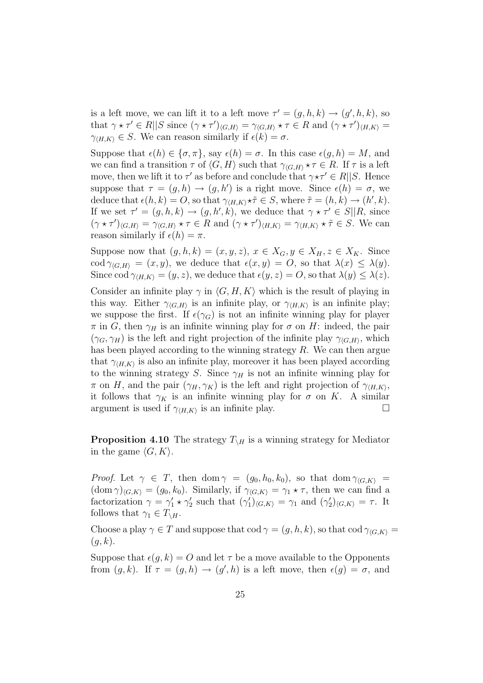is a left move, we can lift it to a left move  $\tau' = (g, h, k) \to (g', h, k)$ , so that  $\gamma \star \tau' \in R||S$  since  $(\gamma \star \tau')_{\langle G,H \rangle} = \gamma_{\langle G,H \rangle} \star \tau \in R$  and  $(\gamma \star \tau')_{\langle H,K \rangle} =$  $\gamma_{\langle H,K \rangle} \in S$ . We can reason similarly if  $\epsilon(k) = \sigma$ .

Suppose that  $\epsilon(h) \in \{\sigma, \pi\}$ , say  $\epsilon(h) = \sigma$ . In this case  $\epsilon(g, h) = M$ , and we can find a transition  $\tau$  of  $\langle G, H \rangle$  such that  $\gamma_{\langle G, H \rangle} \star \tau \in R$ . If  $\tau$  is a left move, then we lift it to  $\tau'$  as before and conclude that  $\gamma \star \tau' \in R||S$ . Hence suppose that  $\tau = (g, h) \to (g, h')$  is a right move. Since  $\epsilon(h) = \sigma$ , we deduce that  $\epsilon(h, k) = O$ , so that  $\gamma_{\langle H, K \rangle} \star \tilde{\tau} \in S$ , where  $\tilde{\tau} = (h, k) \to (h', k)$ . If we set  $\tau' = (g, h, k) \to (g, h', k)$ , we deduce that  $\gamma \star \tau' \in S||R$ , since  $(\gamma \star \tau')_{\langle G,H \rangle} = \gamma_{\langle G,H \rangle} \star \tau \in R$  and  $(\gamma \star \tau')_{\langle H,K \rangle} = \gamma_{\langle H,K \rangle} \star \tilde{\tau} \in S$ . We can reason similarly if  $\epsilon(h) = \pi$ .

Suppose now that  $(g, h, k)=(x, y, z), x \in X_G, y \in X_H, z \in X_K$ . Since cod  $\gamma_{\langle G,H \rangle} = (x, y)$ , we deduce that  $\epsilon(x, y) = O$ , so that  $\lambda(x) \leq \lambda(y)$ . Since cod  $\gamma_{\langle H,K \rangle} = (y, z)$ , we deduce that  $\epsilon(y, z) = O$ , so that  $\lambda(y) \leq \lambda(z)$ .

Consider an infinite play  $\gamma$  in  $\langle G, H, K \rangle$  which is the result of playing in this way. Either  $\gamma_{\langle G,H \rangle}$  is an infinite play, or  $\gamma_{\langle H,K \rangle}$  is an infinite play; we suppose the first. If  $\epsilon(\gamma_G)$  is not an infinite winning play for player  $\pi$  in G, then  $\gamma_H$  is an infinite winning play for  $\sigma$  on H: indeed, the pair  $(\gamma_G, \gamma_H)$  is the left and right projection of the infinite play  $\gamma_{G,H}$ , which has been played according to the winning strategy R. We can then argue that  $\gamma_{(H,K)}$  is also an infinite play, moreover it has been played according to the winning strategy S. Since  $\gamma_H$  is not an infinite winning play for  $\pi$  on H, and the pair  $(\gamma_H, \gamma_K)$  is the left and right projection of  $\gamma_{(H,K)},$ it follows that  $\gamma_K$  is an infinite winning play for  $\sigma$  on K. A similar argument is used if  $\gamma_{(HK)}$  is an infinite play. argument is used if  $\gamma_{\langle H,K \rangle}$  is an infinite play.

**Proposition 4.10** The strategy  $T_{\rm H}$  is a winning strategy for Mediator in the game  $\langle G, K \rangle$ .

*Proof.* Let  $\gamma \in T$ , then dom  $\gamma = (g_0, h_0, k_0)$ , so that dom  $\gamma_{\langle G, K \rangle} =$  $(\text{dom }\gamma)_{\langle G,\mathbb{K}\rangle} = (g_0,k_0).$  Similarly, if  $\gamma_{\langle G,\mathbb{K}\rangle} = \gamma_1 \star \tau$ , then we can find a factorization  $\gamma = \gamma_1' \star \gamma_2'$  such that  $(\gamma_1')_{\langle G,K \rangle} = \gamma_1$  and  $(\gamma_2')_{\langle G,K \rangle} = \tau$ . It follows that  $\gamma_1 \in T_{\backslash H}$ .

Choose a play  $\gamma \in T$  and suppose that  $\text{cod } \gamma = (g, h, k)$ , so that  $\text{cod } \gamma_{\langle G, K \rangle} =$  $(g, k).$ 

Suppose that  $\epsilon(q, k) = O$  and let  $\tau$  be a move available to the Opponents from  $(g, k)$ . If  $\tau = (g, h) \to (g', h)$  is a left move, then  $\epsilon(g) = \sigma$ , and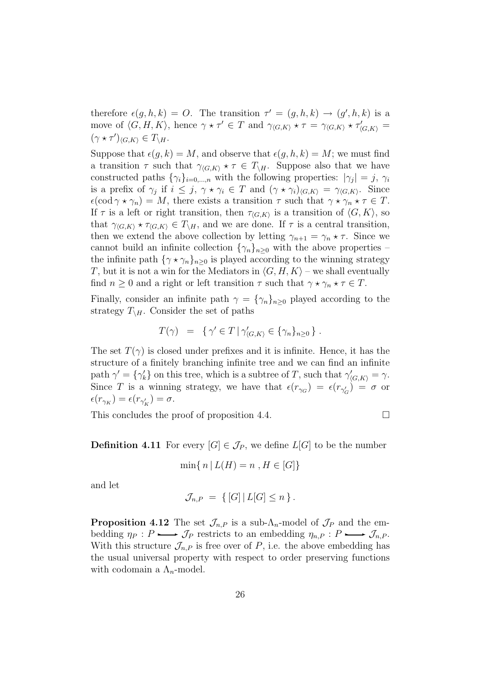therefore  $\epsilon(g, h, k) = O$ . The transition  $\tau' = (g, h, k) \rightarrow (g', h, k)$  is a move of  $\langle G, H, K \rangle$ , hence  $\gamma \star \tau' \in T$  and  $\gamma_{\langle G, K \rangle} \star \tau = \gamma_{\langle G, K \rangle} \star \tau'_{\langle G, K \rangle} =$  $(\gamma \star \tau')_{\langle G, K \rangle} \in T_{\setminus H}.$ 

Suppose that  $\epsilon(g, k) = M$ , and observe that  $\epsilon(g, h, k) = M$ ; we must find a transition  $\tau$  such that  $\gamma_{\langle G,K\rangle} * \tau \in T_{\langle H \rangle}$ . Suppose also that we have constructed paths  $\{\gamma_i\}_{i=0,\dots,n}$  with the following properties:  $|\gamma_j| = j$ ,  $\gamma_i$ is a prefix of  $\gamma_i$  if  $i \leq j$ ,  $\gamma \star \gamma_i \in T$  and  $(\gamma \star \gamma_i)_{\langle G, K \rangle} = \gamma_{\langle G, K \rangle}$ . Since  $\epsilon(\text{cod }\gamma \star \gamma_n) = M$ , there exists a transition  $\tau$  such that  $\gamma \star \gamma_n \star \tau \in T$ . If  $\tau$  is a left or right transition, then  $\tau_{\langle G, K \rangle}$  is a transition of  $\langle G, K \rangle$ , so that  $\gamma_{(G,K)} \star \tau_{(G,K)} \in T_{\backslash H}$ , and we are done. If  $\tau$  is a central transition, then we extend the above collection by letting  $\gamma_{n+1} = \gamma_n \star \tau$ . Since we cannot build an infinite collection  $\{\gamma_n\}_{n>0}$  with the above properties – the infinite path  $\{\gamma \star \gamma_n\}_{n\geq 0}$  is played according to the winning strategy T, but it is not a win for the Mediators in  $\langle G, H, K \rangle$  – we shall eventually find  $n \geq 0$  and a right or left transition  $\tau$  such that  $\gamma \star \gamma_n \star \tau \in T$ .

Finally, consider an infinite path  $\gamma = {\gamma_n}_{n>0}$  played according to the strategy  $T_{\setminus H}$ . Consider the set of paths

$$
T(\gamma) = \{ \gamma' \in T \mid \gamma'_{\langle G, K \rangle} \in \{ \gamma_n \}_{n \geq 0} \}.
$$

The set  $T(\gamma)$  is closed under prefixes and it is infinite. Hence, it has the structure of a finitely branching infinite tree and we can find an infinite path  $\gamma' = {\gamma'_k}$  on this tree, which is a subtree of T, such that  $\gamma'_{\langle G,K \rangle} = \gamma$ .<br>Since T is a winning strategy we have that  $\varepsilon(x) = \varepsilon(x) - \varepsilon(x)$ . Since T is a winning strategy, we have that  $\epsilon(r_{\gamma G}) = \epsilon(r_{\gamma G}) = \sigma$  or  $\epsilon(r_{\gamma_K}) = \epsilon(r_{\gamma'_K}) = \sigma.$ 

This concludes the proof of proposition 4.4.  $\Box$ 

**Definition 4.11** For every  $[G] \in \mathcal{J}_P$ , we define  $L[G]$  to be the number

$$
\min\{ n \mid L(H) = n , H \in [G] \}
$$

and let

$$
\mathcal{J}_{n,P} = \left\{ [G] | L[G] \leq n \right\}.
$$

**Proposition 4.12** The set  $\mathcal{J}_{n,P}$  is a sub- $\Lambda_n$ -model of  $\mathcal{J}_P$  and the embedding  $\eta_P : P \longrightarrow \mathcal{J}_P$  restricts to an embedding  $\eta_{n,P} : P \longrightarrow \mathcal{J}_{n,P}$ . With this structure  $\mathcal{J}_{n,P}$  is free over of P, i.e. the above embedding has the usual universal property with respect to order preserving functions with codomain a  $\Lambda_n$ -model.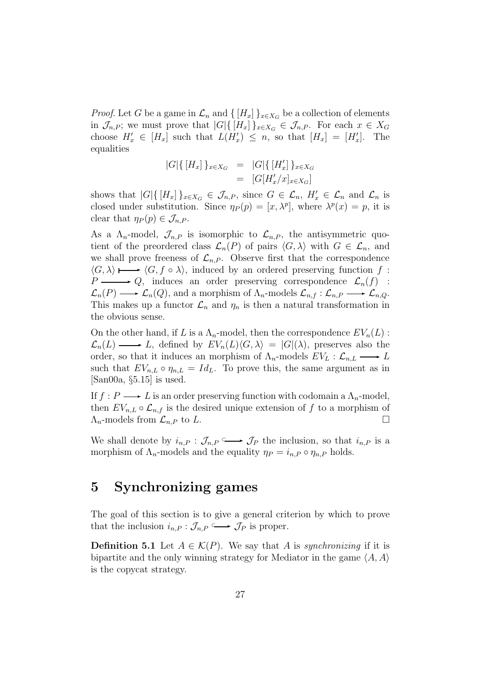*Proof.* Let G be a game in  $\mathcal{L}_n$  and  $\{[H_x]\}_{x \in X_G}$  be a collection of elements in  $\mathcal{J}_{n,P}$ ; we must prove that  $|G|\{[H_x]\}_{x\in X_G} \in \mathcal{J}_{n,P}$ . For each  $x \in X_G$ choose  $H'_x \in [H_x]$  such that  $L(H'_x) \leq n$ , so that  $[H_x] = [H'_x]$ . The equalities

$$
|G|\{[H_x]\}_{x \in X_G} = |G|\{[H'_x]\}_{x \in X_G}
$$
  
= 
$$
[G[H'_x/x]_{x \in X_G}]
$$

shows that  $|G| \{ [H_x] \}_{x \in X_G} \in \mathcal{J}_{n,P}$ , since  $G \in \mathcal{L}_n$ ,  $H'_x \in \mathcal{L}_n$  and  $\mathcal{L}_n$  is<br>closed under substitution. Since  $x_n(x) = [x, \lambda^p]$  where  $\lambda^p(x) = x$  it is closed under substitution. Since  $\eta_P(p)=[x, \lambda^p]$ , where  $\lambda^p(x) = p$ , it is clear that  $\eta_P(p) \in \mathcal{J}_{n,P}$ .

As a  $\Lambda_n$ -model,  $\mathcal{J}_{n,P}$  is isomorphic to  $\mathcal{L}_{n,P}$ , the antisymmetric quotient of the preordered class  $\mathcal{L}_n(P)$  of pairs  $\langle G, \lambda \rangle$  with  $G \in \mathcal{L}_n$ , and we shall prove freeness of  $\mathcal{L}_{n,P}$ . Observe first that the correspondence  $\langle G, \lambda \rangle \mapsto \langle G, f \circ \lambda \rangle$ , induced by an ordered preserving function f:  $P \longrightarrow Q$ , induces an order preserving correspondence  $\mathcal{L}_n(f)$  :  $\mathcal{L}_n(P) \longrightarrow \mathcal{L}_n(Q)$ , and a morphism of  $\Lambda_n$ -models  $\mathcal{L}_{n,f} : \mathcal{L}_{n,P} \longrightarrow \mathcal{L}_{n,Q}$ . This makes up a functor  $\mathcal{L}_n$  and  $\eta_n$  is then a natural transformation in the obvious sense.

On the other hand, if L is a  $\Lambda_n$ -model, then the correspondence  $EV_n(L)$ :  $\mathcal{L}_n(L) \longrightarrow L$ , defined by  $EV_n(L)\langle G, \lambda \rangle = |G|(\lambda)$ , preserves also the order, so that it induces an morphism of  $\Lambda_n$ -models  $EV_L : \mathcal{L}_{n,L} \longrightarrow L$ such that  $EV_{n,L} \circ \eta_{n,L} = Id_L$ . To prove this, the same argument as in  $[\text{San00a}, \S5.15]$  is used.

If  $f : P \longrightarrow L$  is an order preserving function with codomain a  $\Lambda_n$ -model, then  $EV_{n,L} \circ \mathcal{L}_{n,f}$  is the desired unique extension of f to a morphism of  $\Lambda_n$ -models from  $\mathcal{L}_{n,P}$  to L.  $\Lambda_n$ -models from  $\mathcal{L}_{n,P}$  to L.

We shall denote by  $i_{n,P}: \mathcal{J}_{n,P} \longrightarrow \mathcal{J}_P$  the inclusion, so that  $i_{n,P}$  is a morphism of  $\Lambda_n$ -models and the equality  $\eta_P = i_{n,P} \circ \eta_{n,P}$  holds.

## **5 Synchronizing games**

The goal of this section is to give a general criterion by which to prove that the inclusion  $i_{n,P} : \mathcal{J}_{n,P} \longrightarrow \mathcal{J}_P$  is proper.

**Definition 5.1** Let  $A \in \mathcal{K}(P)$ . We say that A is *synchronizing* if it is bipartite and the only winning strategy for Mediator in the game  $\langle A, A \rangle$ is the copycat strategy.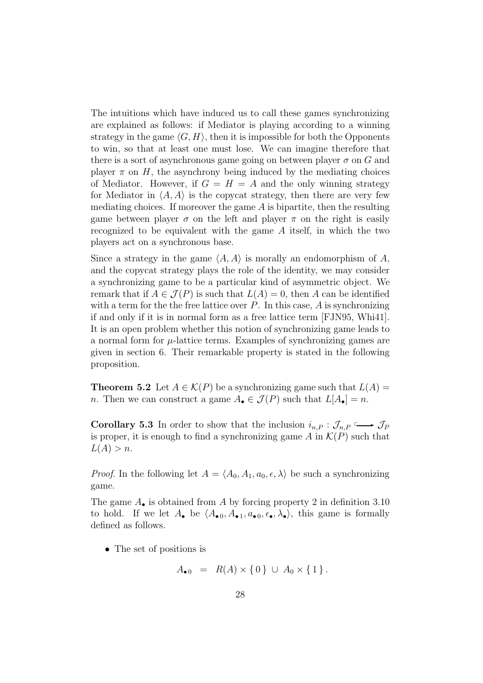The intuitions which have induced us to call these games synchronizing are explained as follows: if Mediator is playing according to a winning strategy in the game  $\langle G, H \rangle$ , then it is impossible for both the Opponents to win, so that at least one must lose. We can imagine therefore that there is a sort of asynchronous game going on between player  $\sigma$  on G and player  $\pi$  on H, the asynchrony being induced by the mediating choices of Mediator. However, if  $G = H = A$  and the only winning strategy for Mediator in  $\langle A, A \rangle$  is the copycat strategy, then there are very few mediating choices. If moreover the game  $A$  is bipartite, then the resulting game between player  $\sigma$  on the left and player  $\pi$  on the right is easily recognized to be equivalent with the game A itself, in which the two players act on a synchronous base.

Since a strategy in the game  $\langle A, A \rangle$  is morally an endomorphism of A, and the copycat strategy plays the role of the identity, we may consider a synchronizing game to be a particular kind of asymmetric object. We remark that if  $A \in \mathcal{J}(P)$  is such that  $L(A) = 0$ , then A can be identified with a term for the the free lattice over  $P$ . In this case,  $A$  is synchronizing if and only if it is in normal form as a free lattice term [FJN95, Whi41]. It is an open problem whether this notion of synchronizing game leads to a normal form for  $\mu$ -lattice terms. Examples of synchronizing games are given in section 6. Their remarkable property is stated in the following proposition.

**Theorem 5.2** Let  $A \in \mathcal{K}(P)$  be a synchronizing game such that  $L(A) =$ n. Then we can construct a game  $A_{\bullet} \in \mathcal{J}(P)$  such that  $L[A_{\bullet}] = n$ .

**Corollary 5.3** In order to show that the inclusion  $i_{n,P}: \mathcal{J}_{n,P} \longrightarrow \mathcal{J}_P$ is proper, it is enough to find a synchronizing game A in  $\mathcal{K}(P)$  such that  $L(A) > n$ .

*Proof.* In the following let  $A = \langle A_0, A_1, a_0, \epsilon, \lambda \rangle$  be such a synchronizing game.

The game  $A_{\bullet}$  is obtained from A by forcing property 2 in definition 3.10 to hold. If we let  $A_{\bullet}$  be  $\langle A_{\bullet 0}, A_{\bullet 1}, a_{\bullet 0}, \epsilon_{\bullet}, \lambda_{\bullet} \rangle$ , this game is formally defined as follows.

• The set of positions is

$$
A_{\bullet 0} = R(A) \times \{0\} \cup A_0 \times \{1\}.
$$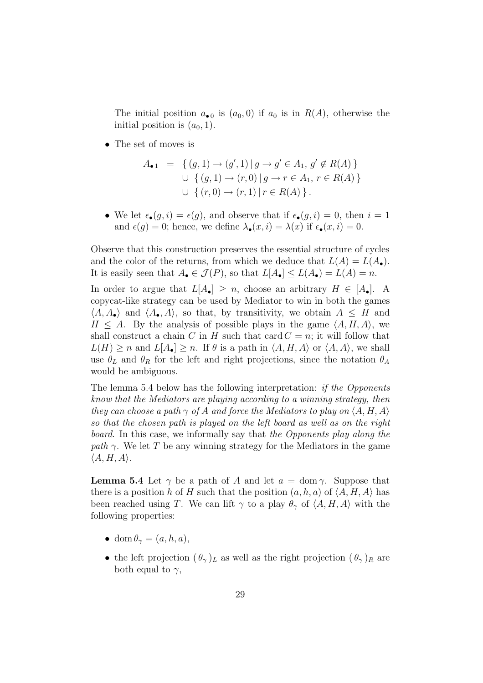The initial position  $a_{\bullet 0}$  is  $(a_0, 0)$  if  $a_0$  is in  $R(A)$ , otherwise the initial position is  $(a_0, 1)$ .

• The set of moves is

$$
A_{\bullet 1} = \{ (g, 1) \to (g', 1) \mid g \to g' \in A_1, g' \notin R(A) \}
$$
  

$$
\cup \{ (g, 1) \to (r, 0) \mid g \to r \in A_1, r \in R(A) \}
$$
  

$$
\cup \{ (r, 0) \to (r, 1) \mid r \in R(A) \}.
$$

• We let  $\epsilon_{\bullet}(g, i) = \epsilon(g)$ , and observe that if  $\epsilon_{\bullet}(g, i) = 0$ , then  $i = 1$ and  $\epsilon(g) = 0$ ; hence, we define  $\lambda_{\bullet}(x, i) = \lambda(x)$  if  $\epsilon_{\bullet}(x, i) = 0$ .

Observe that this construction preserves the essential structure of cycles and the color of the returns, from which we deduce that  $L(A) = L(A_{\bullet}).$ It is easily seen that  $A_{\bullet} \in \mathcal{J}(P)$ , so that  $L[A_{\bullet}] \leq L(A_{\bullet}) = L(A) = n$ .

In order to argue that  $L[A_{\bullet}] \geq n$ , choose an arbitrary  $H \in [A_{\bullet}]$ . A copycat-like strategy can be used by Mediator to win in both the games  $\langle A, A_{\bullet} \rangle$  and  $\langle A_{\bullet}, A \rangle$ , so that, by transitivity, we obtain  $A \leq H$  and  $H \leq A$ . By the analysis of possible plays in the game  $\langle A, H, A \rangle$ , we shall construct a chain C in H such that card  $C = n$ ; it will follow that  $L(H) \geq n$  and  $L[A_{\bullet}] \geq n$ . If  $\theta$  is a path in  $\langle A, H, A \rangle$  or  $\langle A, A \rangle$ , we shall use  $\theta_L$  and  $\theta_R$  for the left and right projections, since the notation  $\theta_A$ would be ambiguous.

The lemma 5.4 below has the following interpretation: if the Opponents know that the Mediators are playing according to a winning strategy, then they can choose a path  $\gamma$  of A and force the Mediators to play on  $\langle A, H, A \rangle$ so that the chosen path is played on the left board as well as on the right board. In this case, we informally say that the Opponents play along the path  $\gamma$ . We let T be any winning strategy for the Mediators in the game  $\langle A, H, A \rangle$ .

**Lemma 5.4** Let  $\gamma$  be a path of A and let  $a = \text{dom } \gamma$ . Suppose that there is a position h of H such that the position  $(a, h, a)$  of  $\langle A, H, A \rangle$  has been reached using T. We can lift  $\gamma$  to a play  $\theta_{\gamma}$  of  $\langle A, H, A \rangle$  with the following properties:

- dom  $\theta_{\gamma} = (a, h, a),$
- the left projection  $(\theta_{\gamma})_L$  as well as the right projection  $(\theta_{\gamma})_R$  are both equal to  $\gamma$ ,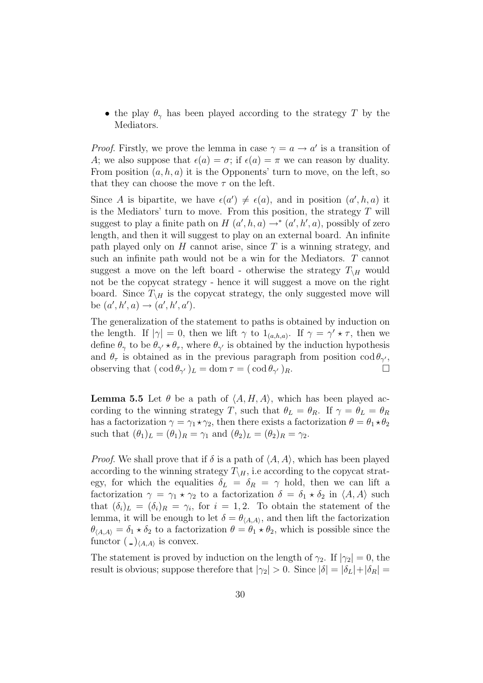• the play  $\theta_{\gamma}$  has been played according to the strategy T by the Mediators.

*Proof.* Firstly, we prove the lemma in case  $\gamma = a \rightarrow a'$  is a transition of A; we also suppose that  $\epsilon(a) = \sigma$ ; if  $\epsilon(a) = \pi$  we can reason by duality. From position  $(a, h, a)$  it is the Opponents' turn to move, on the left, so that they can choose the move  $\tau$  on the left.

Since A is bipartite, we have  $\epsilon(a') \neq \epsilon(a)$ , and in position  $(a', h, a)$  it is the Mediators' turn to move. From this position, the strategy  $T$  will suggest to play a finite path on  $H(a', h, a) \rightarrow^* (a', h', a)$ , possibly of zero length, and then it will suggest to play on an external board. An infinite path played only on  $H$  cannot arise, since  $T$  is a winning strategy, and such an infinite path would not be a win for the Mediators. T cannot suggest a move on the left board - otherwise the strategy  $T_{\rm H}$  would not be the copycat strategy - hence it will suggest a move on the right board. Since  $T_{\Lambda H}$  is the copycat strategy, the only suggested move will be  $(a', h', a) \to (a', h', a')$ .

The generalization of the statement to paths is obtained by induction on the length. If  $|\gamma| = 0$ , then we lift  $\gamma$  to  $1_{(a,h,a)}$ . If  $\gamma = \gamma' \star \tau$ , then we define  $\theta_{\gamma}$  to be  $\theta_{\gamma'} \star \theta_{\tau}$ , where  $\theta_{\gamma'}$  is obtained by the induction hypothesis and  $\theta_{\tau}$  is obtained as in the previous paragraph from position cod  $\theta_{\gamma'}$ ,<br>observing that  $(\cot \theta_{\gamma'})_I = \text{dom } \tau = (\cot \theta_{\gamma'})_P$ . observing that  $(\cot \theta_{\gamma'})_L = \mathrm{dom} \tau = (\cot \theta_{\gamma'})_R$ .

**Lemma 5.5** Let  $\theta$  be a path of  $\langle A, H, A \rangle$ , which has been played according to the winning strategy T, such that  $\theta_L = \theta_R$ . If  $\gamma = \theta_L = \theta_R$ has a factorization  $\gamma = \gamma_1 \star \gamma_2$ , then there exists a factorization  $\theta = \theta_1 \star \theta_2$ such that  $(\theta_1)_L = (\theta_1)_R = \gamma_1$  and  $(\theta_2)_L = (\theta_2)_R = \gamma_2$ .

*Proof.* We shall prove that if  $\delta$  is a path of  $\langle A, A \rangle$ , which has been played according to the winning strategy  $T_{\backslash H}$ , i.e according to the copycat strategy, for which the equalities  $\delta_L = \delta_R = \gamma$  hold, then we can lift a factorization  $\gamma = \gamma_1 \star \gamma_2$  to a factorization  $\delta = \delta_1 \star \delta_2$  in  $\langle A, A \rangle$  such that  $(\delta_i)_L = (\delta_i)_R = \gamma_i$ , for  $i = 1, 2$ . To obtain the statement of the lemma, it will be enough to let  $\delta = \theta_{\langle A,A \rangle}$ , and then lift the factorization  $\theta_{\langle A,A \rangle} = \delta_1 \star \delta_2$  to a factorization  $\theta = \theta_1 \star \theta_2$ , which is possible since the functor  $\left(\frac{\ }{\ }_{\langle A,A\rangle}\right)$  is convex.

The statement is proved by induction on the length of  $\gamma_2$ . If  $|\gamma_2| = 0$ , the result is obvious; suppose therefore that  $|\gamma_2| > 0$ . Since  $|\delta| = |\delta_L| + |\delta_R|$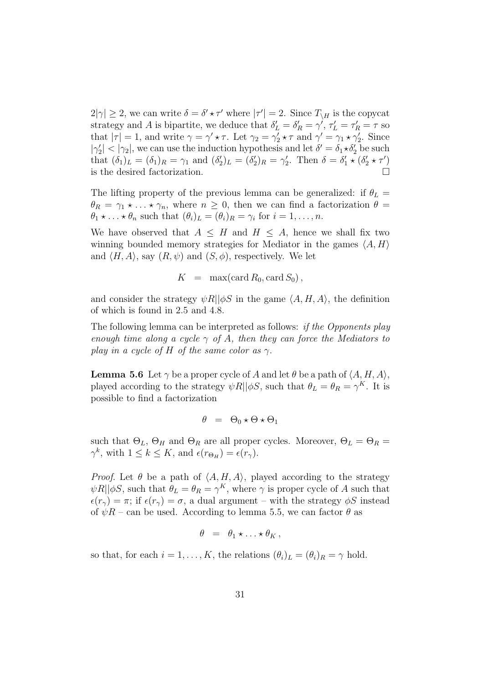$2|\gamma| \geq 2$ , we can write  $\delta = \delta' \star \tau'$  where  $|\tau'| = 2$ . Since  $T_{\setminus H}$  is the copycat strategy and A is bipartite, we deduce that  $\delta'_{L} = \delta'_{R} = \gamma'$ ,  $\tau'_{L} = \tau'_{R} = \tau$  so<br>that  $|\tau| = 1$  and write  $\alpha = \alpha' + \tau$ . Let  $\alpha' = \alpha' + \tau$  and  $\alpha' = \alpha' + \alpha'$ . Since that  $|\tau| = 1$ , and write  $\gamma = \gamma' \star \tau$ . Let  $\gamma_2 = \gamma'_2 \star \tau$  and  $\gamma' = \gamma_1 \star \gamma'_2$ . Since  $|\gamma_2'| < |\gamma_2|$ , we can use the induction hypothesis and let  $\delta' = \delta_1 \star \delta_2'$  be such that  $(\delta_1)_L = (\delta_1)_R = \gamma_1$  and  $(\delta_2')_L = (\delta_2')_R = \gamma_2'$ . Then  $\delta = \delta_1' \star (\delta_2' \star \tau')$ is the desired factorization.

The lifting property of the previous lemma can be generalized: if  $\theta_L$  =  $\theta_R = \gamma_1 \star \ldots \star \gamma_n$ , where  $n \geq 0$ , then we can find a factorization  $\theta =$  $\theta_1 \star \ldots \star \theta_n$  such that  $(\theta_i)_L = (\theta_i)_R = \gamma_i$  for  $i = 1, \ldots, n$ .

We have observed that  $A \leq H$  and  $H \leq A$ , hence we shall fix two winning bounded memory strategies for Mediator in the games  $\langle A, H \rangle$ and  $\langle H, A \rangle$ , say  $(R, \psi)$  and  $(S, \phi)$ , respectively. We let

$$
K = \max(\operatorname{card} R_0, \operatorname{card} S_0),
$$

and consider the strategy  $\psi R||\phi S$  in the game  $\langle A, H, A \rangle$ , the definition of which is found in 2.5 and 4.8.

The following lemma can be interpreted as follows: if the Opponents play enough time along a cycle  $\gamma$  of A, then they can force the Mediators to play in a cycle of H of the same color as  $\gamma$ .

**Lemma 5.6** Let  $\gamma$  be a proper cycle of A and let  $\theta$  be a path of  $\langle A, H, A \rangle$ , played according to the strategy  $\psi R||\phi S$ , such that  $\theta_L = \theta_R = \gamma^K$ . It is possible to find a factorization

$$
\theta = \Theta_0 \star \Theta \star \Theta_1
$$

such that  $\Theta_L$ ,  $\Theta_H$  and  $\Theta_R$  are all proper cycles. Moreover,  $\Theta_L = \Theta_R =$  $\gamma^k$ , with  $1 \leq k \leq K$ , and  $\epsilon(r_{\Theta_H}) = \epsilon(r_{\gamma})$ .

*Proof.* Let  $\theta$  be a path of  $\langle A, H, A \rangle$ , played according to the strategy  $\psi R || \phi S$ , such that  $\theta_L = \theta_R = \gamma^K$ , where  $\gamma$  is proper cycle of A such that  $\epsilon(r_{\gamma}) = \pi$ ; if  $\epsilon(r_{\gamma}) = \sigma$ , a dual argument – with the strategy  $\phi S$  instead of  $\psi R$  – can be used. According to lemma 5.5, we can factor  $\theta$  as

$$
\theta = \theta_1 \star \ldots \star \theta_K,
$$

so that, for each  $i = 1, ..., K$ , the relations  $(\theta_i)_L = (\theta_i)_R = \gamma$  hold.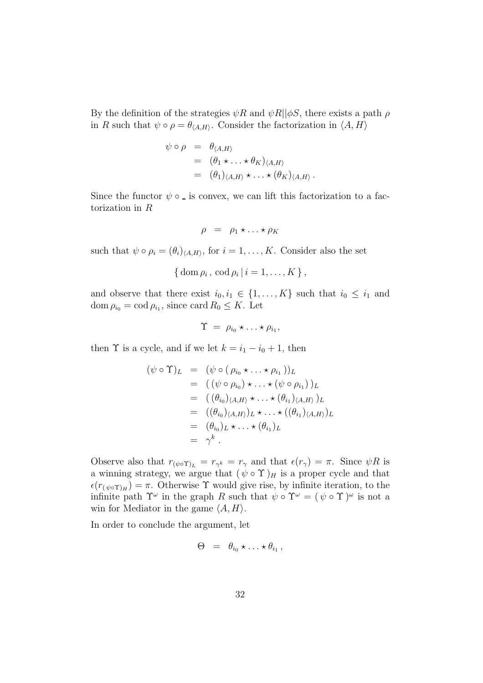By the definition of the strategies  $\psi R$  and  $\psi R || \phi S$ , there exists a path  $\rho$ in R such that  $\psi \circ \rho = \theta_{\langle A,H \rangle}$ . Consider the factorization in  $\langle A, H \rangle$ 

$$
\psi \circ \rho = \theta_{\langle A, H \rangle}
$$
  
=  $(\theta_1 \star ... \star \theta_K)_{\langle A, H \rangle}$   
=  $(\theta_1)_{\langle A, H \rangle} \star ... \star (\theta_K)_{\langle A, H \rangle}.$ 

Since the functor  $\psi \circ \phi$  is convex, we can lift this factorization to a factorization in R

$$
\rho = \rho_1 \star \ldots \star \rho_K
$$

such that  $\psi \circ \rho_i = (\theta_i)_{\langle A,H \rangle}$ , for  $i = 1, \ldots, K$ . Consider also the set

$$
\{ \mathrm{dom}\,\rho_i\,,\,\mathrm{cod}\,\rho_i\,|\,i=1,\ldots,K\,\}\,,
$$

and observe that there exist  $i_0, i_1 \in \{1, ..., K\}$  such that  $i_0 \leq i_1$  and dom  $\rho_{i_0} = \text{cod } \rho_{i_1}$ , since card  $R_0 \leq K$ . Let

$$
\Upsilon = \rho_{i_0} \star \ldots \star \rho_{i_1},
$$

then  $\Upsilon$  is a cycle, and if we let  $k = i_1 - i_0 + 1$ , then

$$
(\psi \circ \Upsilon)_L = (\psi \circ (\rho_{i_0} \star \ldots \star \rho_{i_1}))_L
$$
  
\n
$$
= ((\psi \circ \rho_{i_0}) \star \ldots \star (\psi \circ \rho_{i_1}))_L
$$
  
\n
$$
= ((\theta_{i_0})_{\langle A, H \rangle} \star \ldots \star (\theta_{i_1})_{\langle A, H \rangle})_L
$$
  
\n
$$
= ((\theta_{i_0})_{\langle A, H \rangle})_L \star \ldots \star ((\theta_{i_1})_{\langle A, H \rangle})_L
$$
  
\n
$$
= (\theta_{i_0})_L \star \ldots \star (\theta_{i_1})_L
$$
  
\n
$$
= \gamma^k.
$$

Observe also that  $r_{(\psi \circ \Upsilon)_L} = r_{\gamma^k} = r_{\gamma}$  and that  $\epsilon(r_{\gamma}) = \pi$ . Since  $\psi R$  is a winning strategy, we argue that  $(\psi \circ \Upsilon)_H$  is a proper cycle and that  $\epsilon(r_{(\psi \circ \Upsilon)_H}) = \pi$ . Otherwise  $\Upsilon$  would give rise, by infinite iteration, to the infinite path  $\Upsilon^{\omega}$  in the graph R such that  $\psi \circ \Upsilon^{\omega} = (\psi \circ \Upsilon)^{\omega}$  is not a win for Mediator in the game  $\langle A, H \rangle$ .

In order to conclude the argument, let

$$
\Theta = \theta_{i_0} \star \ldots \star \theta_{i_1},
$$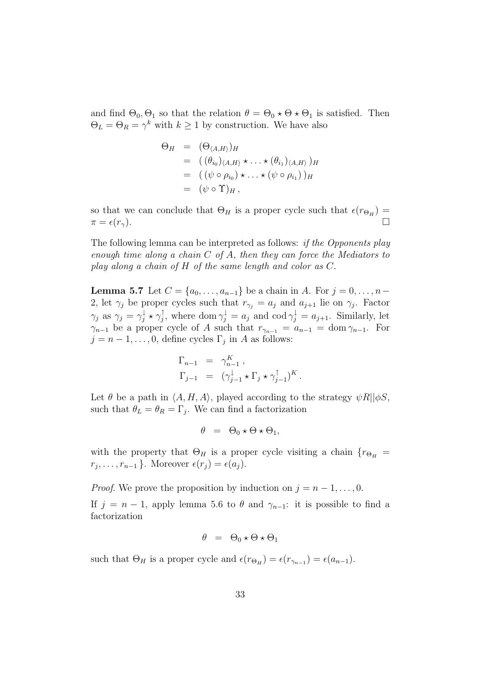and find  $\Theta_0$ ,  $\Theta_1$  so that the relation  $\theta = \Theta_0 \star \Theta \star \Theta_1$  is satisfied. Then  $\Theta_L = \Theta_R = \gamma^k$  with  $k \geq 1$  by construction. We have also

$$
\Theta_H = (\Theta_{\langle A, H \rangle})_H
$$
  
= 
$$
((\theta_{i_0})_{\langle A, H \rangle} \star \ldots \star (\theta_{i_1})_{\langle A, H \rangle})_H
$$
  
= 
$$
((\psi \circ \rho_{i_0}) \star \ldots \star (\psi \circ \rho_{i_1}))_H
$$
  
= 
$$
(\psi \circ \Upsilon)_H,
$$

so that we can conclude that  $\Theta_H$  is a proper cycle such that  $\epsilon(r_{\Theta_H}) = \pi = \epsilon(r_\gamma)$ .  $\pi = \epsilon(r_{\gamma}).$ 

The following lemma can be interpreted as follows: if the Opponents play enough time along a chain  $C$  of  $A$ , then they can force the Mediators to play along a chain of H of the same length and color as C.

**Lemma 5.7** Let  $C = \{a_0, ..., a_{n-1}\}\)$  be a chain in A. For  $j = 0, ..., n-1$ 2, let  $\gamma_j$  be proper cycles such that  $r_{\gamma_j} = a_j$  and  $a_{j+1}$  lie on  $\gamma_j$ . Factor  $\gamma_j$  as  $\gamma_j = \gamma_j^{\downarrow} \star \gamma_j^{\downarrow}$ , where dom  $\gamma_j^{\downarrow} = a_j$  and cod  $\gamma_j^{\downarrow} = a_{j+1}$ . Similarly, let  $\gamma_{n-1}$  be a proper cycle of A such that  $r_{\gamma_{n-1}} = a_{n-1} = \text{dom } \gamma_{n-1}$ . For  $j = n - 1, \ldots, 0$ , define cycles  $\Gamma_j$  in A as follows:

$$
\Gamma_{n-1} = \gamma_{n-1}^K ,
$$
  
\n
$$
\Gamma_{j-1} = (\gamma_{j-1}^{\downarrow} \star \Gamma_j \star \gamma_{j-1}^{\uparrow})^K .
$$

Let  $\theta$  be a path in  $\langle A, H, A \rangle$ , played according to the strategy  $\psi R||\phi S$ , such that  $\theta_L = \theta_R = \Gamma_i$ . We can find a factorization

$$
\theta = \Theta_0 \star \Theta \star \Theta_1,
$$

with the property that  $\Theta_H$  is a proper cycle visiting a chain  $\{r_{\Theta_H} =$  $r_j, \ldots, r_{n-1}$ . Moreover  $\epsilon(r_j) = \epsilon(a_j)$ .

*Proof.* We prove the proposition by induction on  $j = n - 1, \ldots, 0$ . If  $j = n - 1$ , apply lemma 5.6 to  $\theta$  and  $\gamma_{n-1}$ : it is possible to find a factorization

$$
\theta = \Theta_0 \star \Theta \star \Theta_1
$$

such that  $\Theta_H$  is a proper cycle and  $\epsilon(r_{\Theta_H}) = \epsilon(r_{\gamma_{n-1}}) = \epsilon(a_{n-1}).$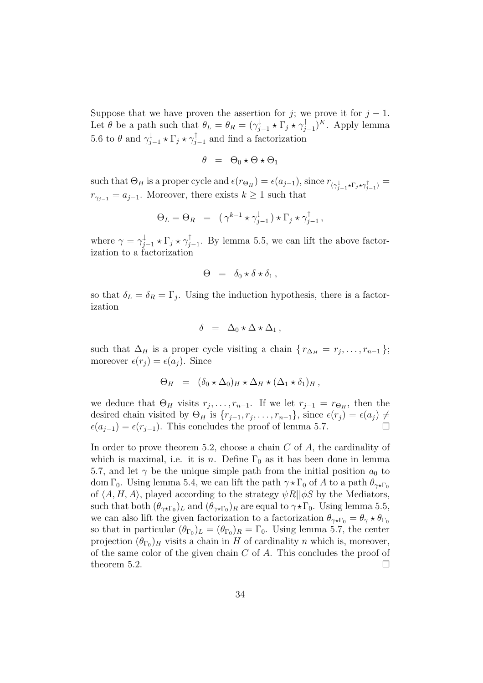Suppose that we have proven the assertion for j; we prove it for  $j - 1$ . Let  $\theta$  be a path such that  $\theta_L = \theta_R = (\gamma_{j-1}^{\downarrow} * \Gamma_j * \gamma_{j-1}^{\downarrow})^K$ . Apply lemma 5.6 to  $\theta$  and  $\gamma_{j-1}^{\downarrow} \star \Gamma_j \star \gamma_{j-1}^{\downarrow}$  and find a factorization

$$
\theta = \Theta_0 \star \Theta \star \Theta_1
$$

such that  $\Theta_H$  is a proper cycle and  $\epsilon(r_{\Theta_H}) = \epsilon(a_{j-1})$ , since  $r_{(\gamma_{j-1}^{\downarrow} \star \Gamma_j \star \gamma_{j-1}^{\uparrow})} =$  $r_{\gamma_{j-1}} = a_{j-1}$ . Moreover, there exists  $k \geq 1$  such that

$$
\Theta_L = \Theta_R = (\gamma^{k-1} \star \gamma_{j-1}^{\downarrow}) \star \Gamma_j \star \gamma_{j-1}^{\uparrow},
$$

where  $\gamma = \gamma_{j-1}^{\downarrow} \star \Gamma_j \star \gamma_{j-1}^{\downarrow}$ . By lemma 5.5, we can lift the above factorization to a factorization

$$
\Theta = \delta_0 \star \delta \star \delta_1 ,
$$

so that  $\delta_L = \delta_R = \Gamma_j$ . Using the induction hypothesis, there is a factorization

$$
\delta = \Delta_0 \star \Delta \star \Delta_1 ,
$$

such that  $\Delta_H$  is a proper cycle visiting a chain  $\{r_{\Delta_H} = r_j, \ldots, r_{n-1}\};$ moreover  $\epsilon(r_i) = \epsilon(a_i)$ . Since

$$
\Theta_H = (\delta_0 \star \Delta_0)_H \star \Delta_H \star (\Delta_1 \star \delta_1)_H,
$$

we deduce that  $\Theta_H$  visits  $r_j, \ldots, r_{n-1}$ . If we let  $r_{j-1} = r_{\Theta_H}$ , then the desired chain visited by  $\Theta_H$  is  $\{r_{j-1}, r_j, \ldots, r_{n-1}\}\$ , since  $\epsilon(r_j) = \epsilon(a_j) \neq \epsilon(a_{i-1}) = \epsilon(r_{i-1})$ . This concludes the proof of lemma 5.7  $\epsilon(a_{j-1}) = \epsilon(r_{j-1})$ . This concludes the proof of lemma 5.7.

In order to prove theorem 5.2, choose a chain  $C$  of  $A$ , the cardinality of which is maximal, i.e. it is n. Define  $\Gamma_0$  as it has been done in lemma 5.7, and let  $\gamma$  be the unique simple path from the initial position  $a_0$  to dom Γ<sub>0</sub>. Using lemma 5.4, we can lift the path  $\gamma \star \Gamma_0$  of A to a path  $\theta_{\gamma \star \Gamma_0}$ of  $\langle A, H, A \rangle$ , played according to the strategy  $\psi R|\phi S$  by the Mediators, such that both  $(\theta_{\gamma*\Gamma_0})_L$  and  $(\theta_{\gamma*\Gamma_0})_R$  are equal to  $\gamma*\Gamma_0$ . Using lemma 5.5, we can also lift the given factorization to a factorization  $\theta_{\gamma \star \Gamma_0} = \theta_{\gamma} \star \theta_{\Gamma_0}$ so that in particular  $(\theta_{\Gamma_0})_L = (\theta_{\Gamma_0})_R = \Gamma_0$ . Using lemma 5.7, the center projection  $(\theta_{\Gamma_0})_H$  visits a chain in H of cardinality n which is, moreover, of the same color of the given chain  $C$  of  $A$ . This concludes the proof of theorem 5.2.  $\Box$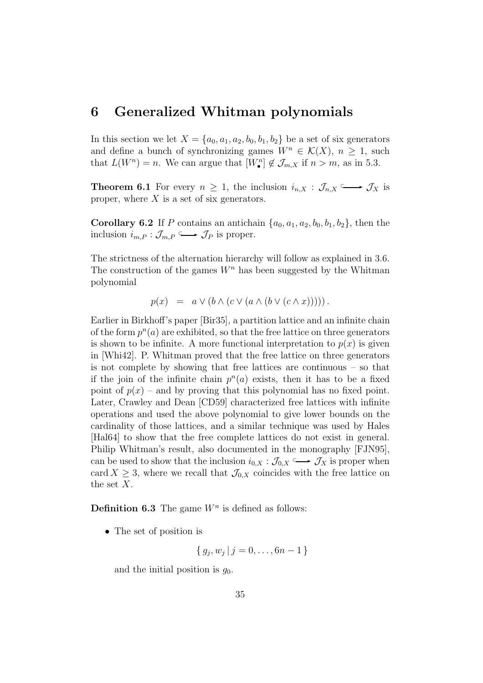### **6 Generalized Whitman polynomials**

In this section we let  $X = \{a_0, a_1, a_2, b_0, b_1, b_2\}$  be a set of six generators and define a bunch of synchronizing games  $W^n \in \mathcal{K}(X)$ ,  $n \geq 1$ , such that  $L(W^n) = n$ . We can argue that  $[W_{\bullet}^n] \notin \mathcal{J}_{m,X}$  if  $n > m$ , as in 5.3.

**Theorem 6.1** For every  $n \geq 1$ , the inclusion  $i_{n,X} : \mathcal{J}_{n,X} \longrightarrow \mathcal{J}_X$  is proper, where  $X$  is a set of six generators.

**Corollary 6.2** If P contains an antichain  $\{a_0, a_1, a_2, b_0, b_1, b_2\}$ , then the inclusion  $i_{m,P}: \mathcal{J}_{m,P} \longrightarrow \mathcal{J}_P$  is proper.

The strictness of the alternation hierarchy will follow as explained in 3.6. The construction of the games  $W<sup>n</sup>$  has been suggested by the Whitman polynomial

$$
p(x) = a \vee (b \wedge (c \vee (a \wedge (b \vee (c \wedge x))))).
$$

Earlier in Birkhoff's paper [Bir35], a partition lattice and an infinite chain of the form  $p^{n}(a)$  are exhibited, so that the free lattice on three generators is shown to be infinite. A more functional interpretation to  $p(x)$  is given in [Whi42]. P. Whitman proved that the free lattice on three generators is not complete by showing that free lattices are continuous – so that if the join of the infinite chain  $p^{n}(a)$  exists, then it has to be a fixed point of  $p(x)$  – and by proving that this polynomial has no fixed point. Later, Crawley and Dean [CD59] characterized free lattices with infinite operations and used the above polynomial to give lower bounds on the cardinality of those lattices, and a similar technique was used by Hales [Hal64] to show that the free complete lattices do not exist in general. Philip Whitman's result, also documented in the monography [FJN95], can be used to show that the inclusion  $i_{0,X} : \mathcal{J}_{0,X} \longrightarrow \mathcal{J}_X$  is proper when card  $X \geq 3$ , where we recall that  $\mathcal{J}_{0,X}$  coincides with the free lattice on the set X.

**Definition 6.3** The game  $W<sup>n</sup>$  is defined as follows:

• The set of position is

$$
\{ g_j, w_j \, | \, j = 0, \dots, 6n - 1 \}
$$

and the initial position is  $g_0$ .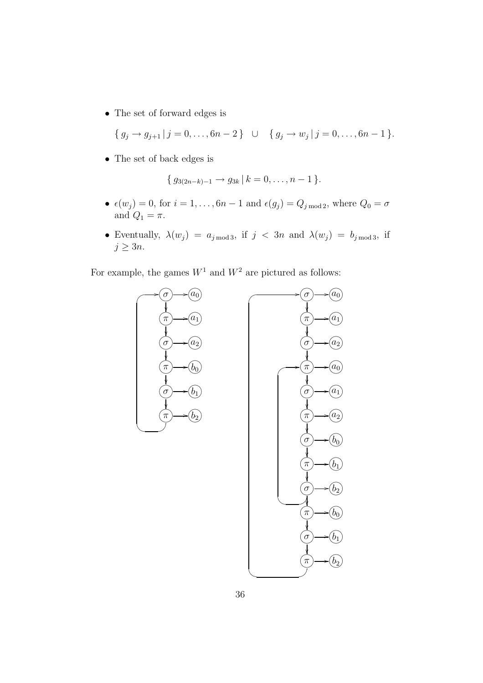• The set of forward edges is

$$
\{ g_j \to g_{j+1} \mid j = 0, \ldots, 6n-2 \} \quad \cup \quad \{ g_j \to w_j \mid j = 0, \ldots, 6n-1 \}.
$$

• The set of back edges is

$$
\{ g_{3(2n-k)-1} \to g_{3k} \mid k = 0, \ldots, n-1 \}.
$$

- $\epsilon(w_j) = 0$ , for  $i = 1, ..., 6n 1$  and  $\epsilon(g_j) = Q_{j \mod 2}$ , where  $Q_0 = \sigma$ and  $Q_1 = \pi$ .
- Eventually,  $\lambda(w_j) = a_{j \mod 3}$ , if  $j < 3n$  and  $\lambda(w_j) = b_{j \mod 3}$ , if  $j \geq 3n$ .

For example, the games  $W^1$  and  $W^2$  are pictured as follows:

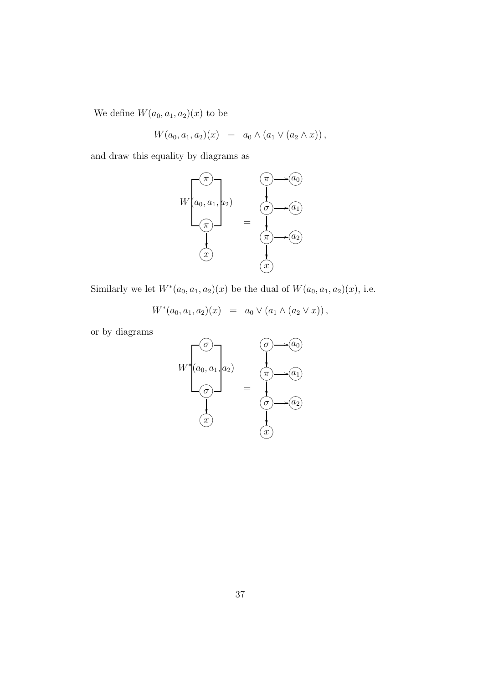We define  $W(a_0, a_1, a_2)(x)$  to be

$$
W(a_0, a_1, a_2)(x) = a_0 \wedge (a_1 \vee (a_2 \wedge x)),
$$

and draw this equality by diagrams as



 $(x)$ <br>Similarly we let  $W^*(a_0, a_1, a_2)(x)$  be the dual of  $W(a_0, a_1, a_2)(x)$ , i.e.

$$
W^*(a_0,a_1,a_2)(x) = a_0 \vee (a_1 \wedge (a_2 \vee x)),
$$

or by diagrams

$$
W^*\left(a_0, a_1, a_2\right) = \begin{pmatrix} \sigma \\ \downarrow \\ \sigma \end{pmatrix}
$$

$$
= \begin{pmatrix} \pi \\ \downarrow \\ \sigma \end{pmatrix}
$$

$$
\begin{pmatrix} \sigma \\ \downarrow \\ \downarrow \end{pmatrix}
$$

$$
\begin{pmatrix} \sigma \\ \downarrow \\ \downarrow \end{pmatrix}
$$

$$
\begin{pmatrix} \sigma \\ \downarrow \\ \downarrow \end{pmatrix}
$$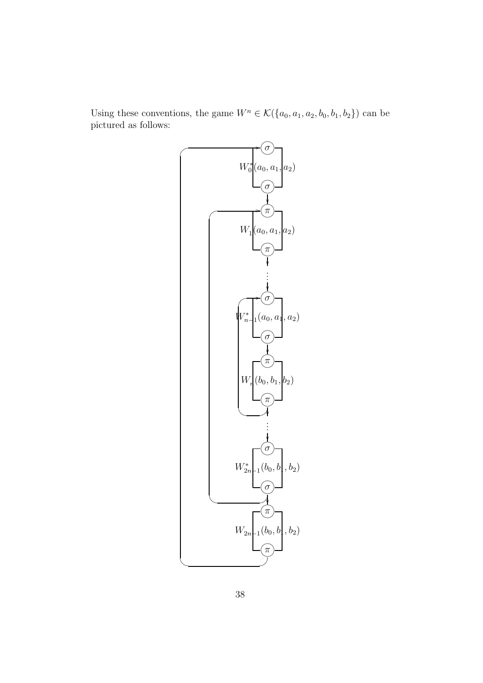Using these conventions, the game  $W^n \in \mathcal{K}(\{a_0, a_1, a_2, b_0, b_1, b_2\})$  can be pictured as follows:

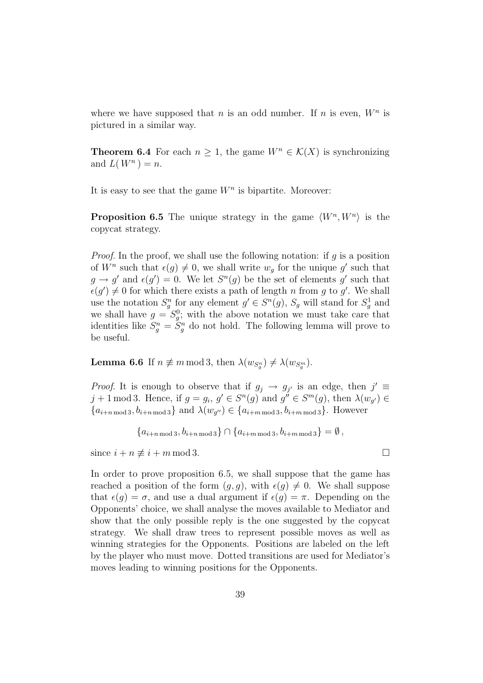where we have supposed that n is an odd number. If n is even,  $W<sup>n</sup>$  is pictured in a similar way.

**Theorem 6.4** For each  $n \geq 1$ , the game  $W^n \in \mathcal{K}(X)$  is synchronizing and  $L(W^n) = n$ .

It is easy to see that the game  $W<sup>n</sup>$  is bipartite. Moreover:

**Proposition 6.5** The unique strategy in the game  $\langle W^n, W^n \rangle$  is the copycat strategy.

*Proof.* In the proof, we shall use the following notation: if  $q$  is a position of  $W^n$  such that  $\epsilon(q) \neq 0$ , we shall write  $w_q$  for the unique g' such that  $g \to g'$  and  $\epsilon(g') = 0$ . We let  $S^n(g)$  be the set of elements g' such that  $\epsilon(g') \neq 0$  for which there exists a path of length n from g to g'. We shall use the notation  $S_g^n$  for any element  $g' \in S^n(g)$ ,  $S_g$  will stand for  $S_g^1$  and<br>we shall have  $g = S^0$ ; with the above notation we must take ease that we shall have  $g = S_g^0$ ; with the above notation we must take care that identities like  $S_g^n = S_g^n$  do not hold. The following lemma will prove to be useful be useful.

**Lemma 6.6** If  $n \neq m \mod 3$ , then  $\lambda(w_{S_g^n}) \neq \lambda(w_{S_g^m})$ .

*Proof.* It is enough to observe that if  $g_j \to g_{j'}$  is an edge, then  $j' \equiv$ j + 1 mod 3. Hence, if  $g = g_i$ ,  $g' \in S^n(g)$  and  $g'' \in S^m(g)$ , then  $\lambda(w_{g'}) \in S^m(g)$  ${a_{i+n \bmod 3}, b_{i+n \bmod 3}}$  and  $\lambda(w_{q''}) \in {a_{i+m \bmod 3}, b_{i+m \bmod 3}}$ . However

```
{a_{i+n \bmod 3}, b_{i+n \bmod 3}} \cap {a_{i+m \bmod 3}, b_{i+m \bmod 3}} = \emptyset
```
since  $i + n \not\equiv i + m \mod 3$ .

In order to prove proposition 6.5, we shall suppose that the game has reached a position of the form  $(g, g)$ , with  $\epsilon(g) \neq 0$ . We shall suppose that  $\epsilon(q) = \sigma$ , and use a dual argument if  $\epsilon(q) = \pi$ . Depending on the Opponents' choice, we shall analyse the moves available to Mediator and show that the only possible reply is the one suggested by the copycat strategy. We shall draw trees to represent possible moves as well as winning strategies for the Opponents. Positions are labeled on the left by the player who must move. Dotted transitions are used for Mediator's moves leading to winning positions for the Opponents.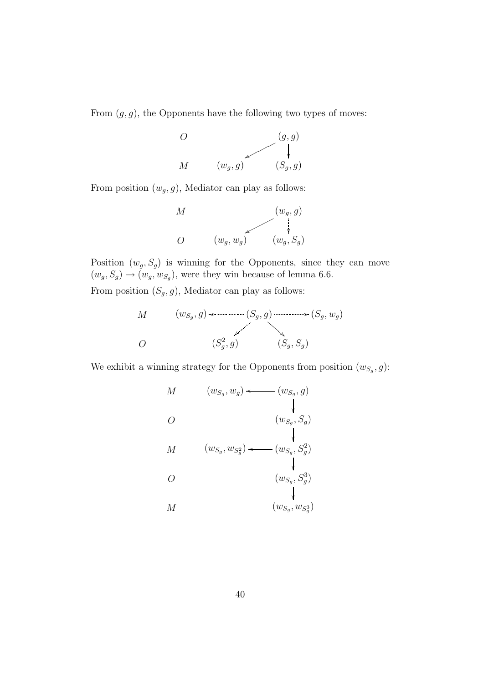From  $(g, g)$ , the Opponents have the following two types of moves:



From position  $(w_g, g)$ , Mediator can play as follows:



Position  $(w_g, S_g)$  is winning for the Opponents, since they can move  $(w_g, S_g) \rightarrow (w_g, w_{S_g})$ , were they win because of lemma 6.6.

From position  $(S_g, g)$ , Mediator can play as follows:

$$
M \qquad (w_{S_g}, g) \iff (S_g, g) \iff (S_g, w_g)
$$
\n
$$
O \qquad (S_g^2, g) \qquad (S_g, S_g)
$$

We exhibit a winning strategy for the Opponents from position  $(w_{S_q}, g)$ :

M O M  $\overline{O}$ M  $(w_{S_g}, w_g) \longleftarrow (w_{S_g}, g)$  $(w_{S_g}, S_g)$ l  $(w_{S_g}, w_{S_g^2}) \longleftarrow (w_{S_g}, S_g^2)$ I  $(w_{S_g}, S_g^3)$ I  $(w_{S_g},w_{S_g^3})$ I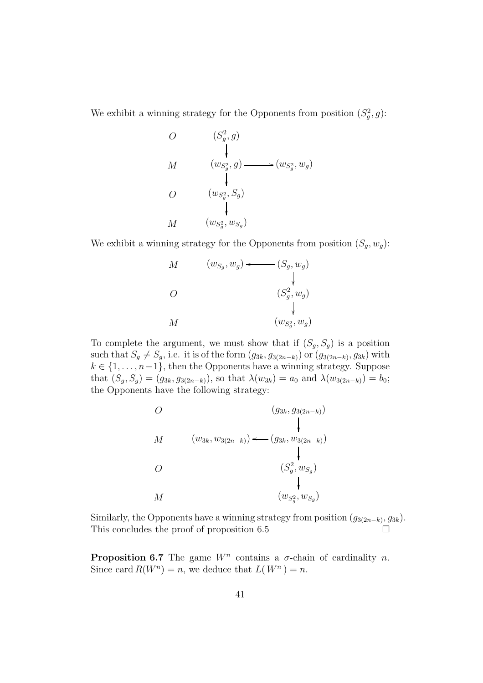We exhibit a winning strategy for the Opponents from position  $(S_g^2, g)$ :

$$
\begin{array}{ccc}\nO & (S_g^2, g) \\
 & \downarrow \\
M & (w_{S_g^2}, g) \longrightarrow (w_{S_g^2}, w_g) \\
 & \downarrow \\
O & (w_{S_g^2}, S_g) \\
 & \downarrow \\
M & (w_{S_g^2}, w_{S_g})\n\end{array}
$$

We exhibit a winning strategy for the Opponents from position  $(S_q, w_q)$ :



To complete the argument, we must show that if  $(S_q, S_q)$  is a position such that  $S_g \neq S_g$ , i.e. it is of the form  $(g_{3k}, g_{3(2n-k)})$  or  $(g_{3(2n-k)}, g_{3k})$  with  $k \in \{1, \ldots, n-1\}$ , then the Opponents have a winning strategy. Suppose that  $(S_q, S_q) = (g_{3k}, g_{3(2n-k)})$ , so that  $\lambda(w_{3k}) = a_0$  and  $\lambda(w_{3(2n-k)}) = b_0;$ the Opponents have the following strategy:



Similarly, the Opponents have a winning strategy from position  $(g_{3(2n-k)}, g_{3k})$ .<br>This concludes the proof of proposition 6.5 This concludes the proof of proposition 6.5

**Proposition 6.7** The game  $W<sup>n</sup>$  contains a  $\sigma$ -chain of cardinality n. Since card  $R(W^n) = n$ , we deduce that  $L(W^n) = n$ .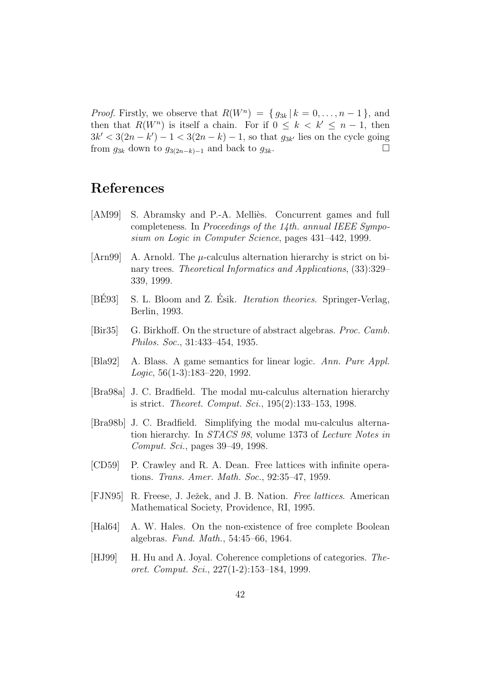*Proof.* Firstly, we observe that  $R(W^n) = \{ g_{3k} | k = 0, \ldots, n-1 \}$ , and then that  $R(W^n)$  is itself a chain. For if  $0 \leq k < k' \leq n - 1$ , then  $3k' < 3(2n - k') - 1 < 3(2n - k) - 1$ , so that  $g_{3k'}$  lies on the cycle going from  $g_{3k}$  down to  $g_{3(2n-k)-1}$  and back to  $g_{3k}$ .

## **References**

- [AM99] S. Abramsky and P.-A. Melliès. Concurrent games and full completeness. In Proceedings of the 14th. annual IEEE Symposium on Logic in Computer Science, pages 431–442, 1999.
- [Arn99] A. Arnold. The  $\mu$ -calculus alternation hierarchy is strict on binary trees. Theoretical Informatics and Applications, (33):329– 339, 1999.
- [BE93] S. L. Bloom and Z. Esik. *Iteration theories*. Springer-Verlag, Berlin, 1993.
- [Bir35] G. Birkhoff. On the structure of abstract algebras. Proc. Camb. Philos. Soc., 31:433–454, 1935.
- [Bla92] A. Blass. A game semantics for linear logic. Ann. Pure Appl. Logic, 56(1-3):183–220, 1992.
- [Bra98a] J. C. Bradfield. The modal mu-calculus alternation hierarchy is strict. Theoret. Comput. Sci., 195(2):133–153, 1998.
- [Bra98b] J. C. Bradfield. Simplifying the modal mu-calculus alternation hierarchy. In STACS 98, volume 1373 of Lecture Notes in Comput. Sci., pages 39–49, 1998.
- [CD59] P. Crawley and R. A. Dean. Free lattices with infinite operations. Trans. Amer. Math. Soc., 92:35–47, 1959.
- [FJN95] R. Freese, J. Ježek, and J. B. Nation. *Free lattices*. American Mathematical Society, Providence, RI, 1995.
- [Hal64] A. W. Hales. On the non-existence of free complete Boolean algebras. Fund. Math., 54:45–66, 1964.
- [HJ99] H. Hu and A. Joyal. Coherence completions of categories. Theoret. Comput. Sci., 227(1-2):153–184, 1999.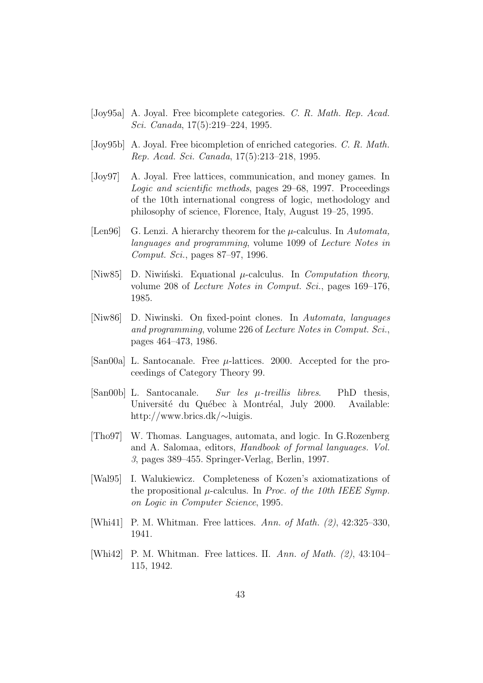- [Joy95a] A. Joyal. Free bicomplete categories. C. R. Math. Rep. Acad. Sci. Canada, 17(5):219–224, 1995.
- [Joy95b] A. Joyal. Free bicompletion of enriched categories. C. R. Math. Rep. Acad. Sci. Canada, 17(5):213–218, 1995.
- [Joy97] A. Joyal. Free lattices, communication, and money games. In Logic and scientific methods, pages 29–68, 1997. Proceedings of the 10th international congress of logic, methodology and philosophy of science, Florence, Italy, August 19–25, 1995.
- [Len96] G. Lenzi. A hierarchy theorem for the  $\mu$ -calculus. In Automata, languages and programming, volume 1099 of Lecture Notes in Comput. Sci., pages 87–97, 1996.
- [Niw85] D. Niwiński. Equational  $\mu$ -calculus. In *Computation theory*, volume 208 of Lecture Notes in Comput. Sci., pages 169–176, 1985.
- [Niw86] D. Niwinski. On fixed-point clones. In Automata, languages and programming, volume 226 of Lecture Notes in Comput. Sci., pages 464–473, 1986.
- [San00a] L. Santocanale. Free  $\mu$ -lattices. 2000. Accepted for the proceedings of Category Theory 99.
- [San00b] L. Santocanale. Sur les µ-treillis libres. PhD thesis, Université du Québec à Montréal, July 2000. Available: http://www.brics.dk/∼luigis.
- [Tho97] W. Thomas. Languages, automata, and logic. In G.Rozenberg and A. Salomaa, editors, Handbook of formal languages. Vol. 3, pages 389–455. Springer-Verlag, Berlin, 1997.
- [Wal95] I. Walukiewicz. Completeness of Kozen's axiomatizations of the propositional  $\mu$ -calculus. In *Proc. of the 10th IEEE Symp.* on Logic in Computer Science, 1995.
- [Whi41] P. M. Whitman. Free lattices. Ann. of Math. (2), 42:325–330, 1941.
- [Whi42] P. M. Whitman. Free lattices. II. Ann. of Math. (2), 43:104– 115, 1942.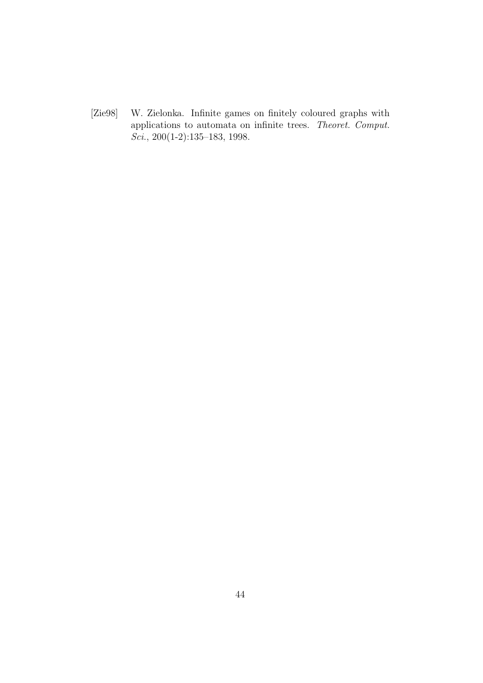[Zie98] W. Zielonka. Infinite games on finitely coloured graphs with applications to automata on infinite trees. Theoret. Comput. Sci., 200(1-2):135–183, 1998.